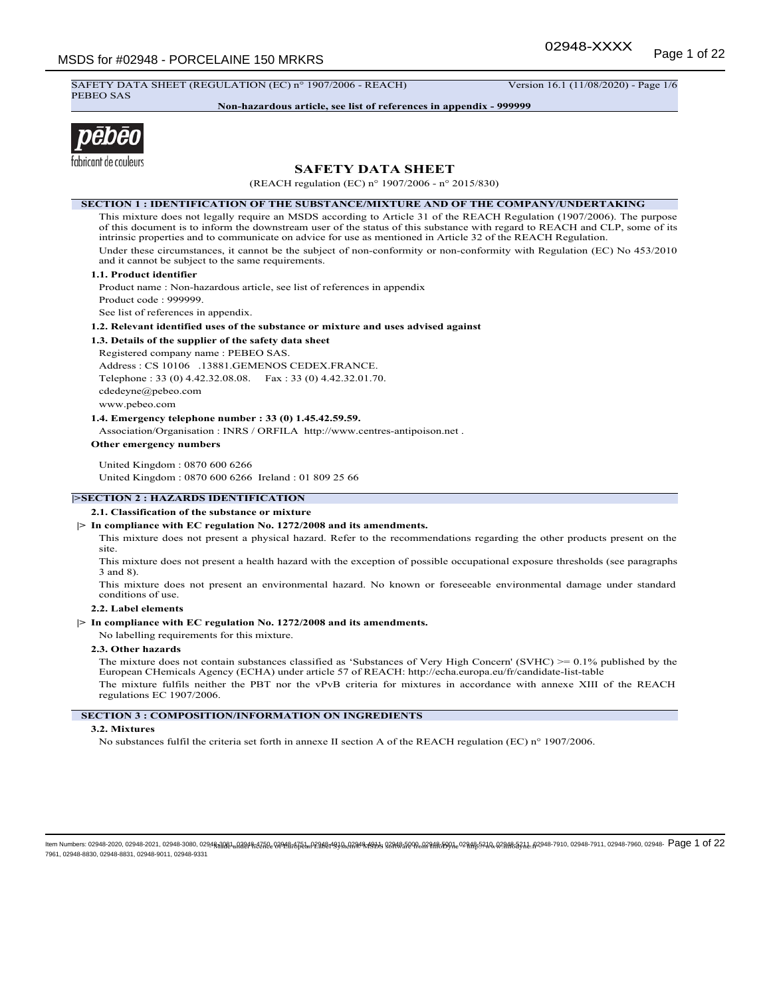SAFETY DATA SHEET (REGULATION (EC) n° 1907/2006 - REACH) Version 16.1 (11/08/2020) - Page 1/6 PEBEO SAS

**Non-hazardous article, see list of references in appendix - 999999**



# **SAFETY DATA SHEET**

(REACH regulation (EC) n° 1907/2006 - n° 2015/830)

#### **SECTION 1 : IDENTIFICATION OF THE SUBSTANCE/MIXTURE AND OF THE COMPANY/UNDERTAKING**

This mixture does not legally require an MSDS according to Article 31 of the REACH Regulation (1907/2006). The purpose of this document is to inform the downstream user of the status of this substance with regard to REACH and CLP, some of its intrinsic properties and to communicate on advice for use as mentioned in Article 32 of the REACH Regulation. Under these circumstances, it cannot be the subject of non-conformity or non-conformity with Regulation (EC) No 453/2010 and it cannot be subject to the same requirements.

### **1.1. Product identifier**

Product name : Non-hazardous article, see list of references in appendix Product code : 999999. See list of references in appendix.

**1.2. Relevant identified uses of the substance or mixture and uses advised against**

### **1.3. Details of the supplier of the safety data sheet**

Registered company name : PEBEO SAS.

Address : CS 10106 .13881.GEMENOS CEDEX.FRANCE. Telephone : 33 (0) 4.42.32.08.08. Fax : 33 (0) 4.42.32.01.70. cdedeyne@pebeo.com www.pebeo.com

**1.4. Emergency telephone number : 33 (0) 1.45.42.59.59.**

Association/Organisation : INRS / ORFILA http://www.centres-antipoison.net .

#### **Other emergency numbers**

United Kingdom : 0870 600 6266 United Kingdom : 0870 600 6266 Ireland : 01 809 25 66

## **|>SECTION 2 : HAZARDS IDENTIFICATION**

**2.1. Classification of the substance or mixture**

## **|> In compliance with EC regulation No. 1272/2008 and its amendments.**

This mixture does not present a physical hazard. Refer to the recommendations regarding the other products present on the site.

This mixture does not present a health hazard with the exception of possible occupational exposure thresholds (see paragraphs 3 and 8).

This mixture does not present an environmental hazard. No known or foreseeable environmental damage under standard conditions of use.

## **2.2. Label elements**

## **|> In compliance with EC regulation No. 1272/2008 and its amendments.**

No labelling requirements for this mixture.

## **2.3. Other hazards**

The mixture does not contain substances classified as 'Substances of Very High Concern' (SVHC) >= 0.1% published by the European CHemicals Agency (ECHA) under article 57 of REACH: http://echa.europa.eu/fr/candidate-list-table The mixture fulfils neither the PBT nor the vPvB criteria for mixtures in accordance with annexe XIII of the REACH regulations EC 1907/2006.

**SECTION 3 : COMPOSITION/INFORMATION ON INGREDIENTS**

## **3.2. Mixtures**

No substances fulfil the criteria set forth in annexe II section A of the REACH regulation (EC) n° 1907/2006.

ltem Numbers: 02948-2020, 02948-2021, 02948-3080, 0294<del>8,2021, 12298,1252, 02948;8752. 122982;47994,2788,49994,02888,84090,029185,591,0,029185,841,02948,8341,02948-7910, 02948-7911, 02948-7910, 02948-7910, 02948-7910, 029</del> 7961, 02948-8830, 02948-8831, 02948-9011, 02948-9331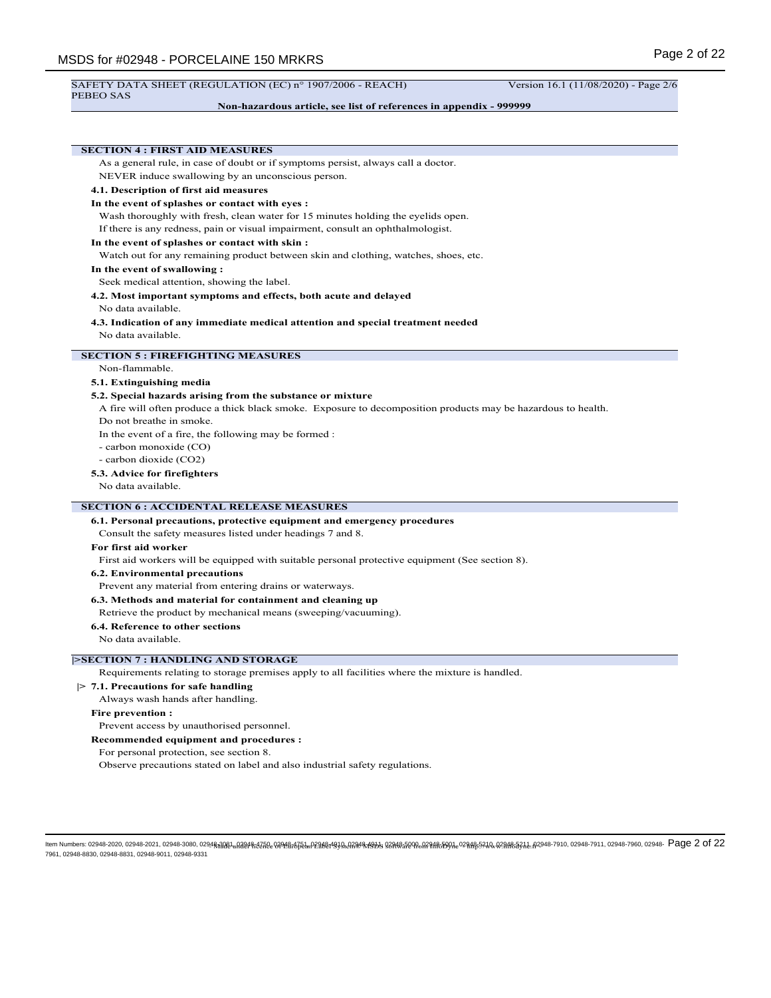# **Non-hazardous article, see list of references in appendix - 999999**

| <b>SECTION 4 : FIRST AID MEASURES</b>                                                                         |
|---------------------------------------------------------------------------------------------------------------|
| As a general rule, in case of doubt or if symptoms persist, always call a doctor.                             |
| NEVER induce swallowing by an unconscious person.                                                             |
| 4.1. Description of first aid measures                                                                        |
| In the event of splashes or contact with eyes :                                                               |
| Wash thoroughly with fresh, clean water for 15 minutes holding the eyelids open.                              |
| If there is any redness, pain or visual impairment, consult an ophthalmologist.                               |
| In the event of splashes or contact with skin:                                                                |
| Watch out for any remaining product between skin and clothing, watches, shoes, etc.                           |
| In the event of swallowing:                                                                                   |
| Seek medical attention, showing the label.                                                                    |
| 4.2. Most important symptoms and effects, both acute and delayed                                              |
| No data available.                                                                                            |
| 4.3. Indication of any immediate medical attention and special treatment needed                               |
| No data available.                                                                                            |
| <b>SECTION 5: FIREFIGHTING MEASURES</b>                                                                       |
| Non-flammable.                                                                                                |
| 5.1. Extinguishing media                                                                                      |
| 5.2. Special hazards arising from the substance or mixture                                                    |
| A fire will often produce a thick black smoke. Exposure to decomposition products may be hazardous to health. |
| Do not breathe in smoke.                                                                                      |
| In the event of a fire, the following may be formed :                                                         |
| - carbon monoxide (CO)                                                                                        |
| - carbon dioxide (CO2)                                                                                        |
| 5.3. Advice for firefighters                                                                                  |
| No data available.                                                                                            |
|                                                                                                               |
| <b>SECTION 6 : ACCIDENTAL RELEASE MEASURES</b>                                                                |
| 6.1. Personal precautions, protective equipment and emergency procedures                                      |
| Consult the safety measures listed under headings 7 and 8.                                                    |
| For first aid worker                                                                                          |
| First aid workers will be equipped with suitable personal protective equipment (See section 8).               |
| <b>6.2. Environmental precautions</b>                                                                         |
| Prevent any material from entering drains or waterways.                                                       |
| 6.3. Methods and material for containment and cleaning up                                                     |
| Retrieve the product by mechanical means (sweeping/vacuuming).                                                |
| 6.4. Reference to other sections                                                                              |
| No data available.                                                                                            |
| <b>&gt;SECTION 7 : HANDLING AND STORAGE</b>                                                                   |
| Requirements relating to storage premises apply to all facilities where the mixture is handled.               |
| $> 7.1$ . Precautions for safe handling                                                                       |
| Always wash hands after handling.                                                                             |
| <b>Fire prevention:</b>                                                                                       |
| Prevent access by unauthorised personnel.                                                                     |
| Recommended equipment and procedures :                                                                        |
|                                                                                                               |

For personal protection, see section 8.

Observe precautions stated on label and also industrial safety regulations.

ltem Numbers: 02948-2020, 02948-2021, 02948-3080, 0294<del>8,2021, 12298,1252, 02948;8752. 12298,18799, 12948,84990, 02848;870,02848,890,02848;580,02948534.0,02948-7910, 02948-7911, 02948-7910, 02948-7910, 02948-7910, 02948-7</del> 7961, 02948-8830, 02948-8831, 02948-9011, 02948-9331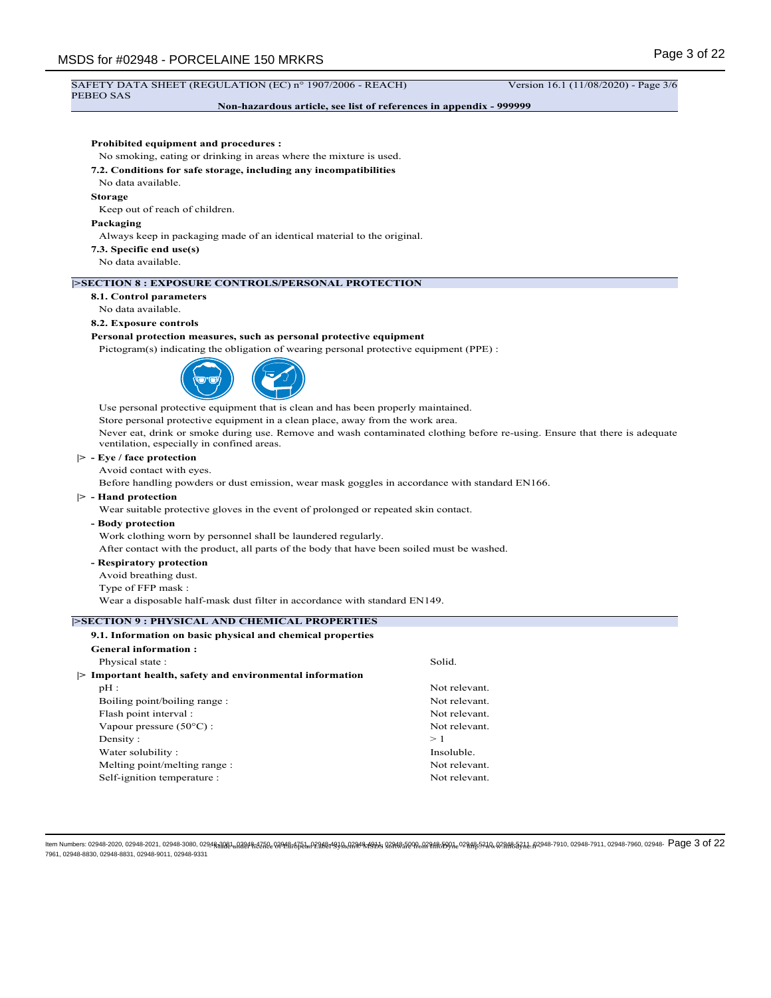#### SAFETY DATA SHEET (REGULATION (EC) n° 1907/2006 - REACH) Version 16.1 (11/08/2020) - Page 3/6 PEBEO SAS

**Non-hazardous article, see list of references in appendix - 999999**

## **Prohibited equipment and procedures :**

No smoking, eating or drinking in areas where the mixture is used.

### **7.2. Conditions for safe storage, including any incompatibilities**

No data available.

### **Storage**

Keep out of reach of children.

### **Packaging**

Always keep in packaging made of an identical material to the original.

- **7.3. Specific end use(s)**
- No data available.

## **|>SECTION 8 : EXPOSURE CONTROLS/PERSONAL PROTECTION**

**8.1. Control parameters**

## No data available.

### **8.2. Exposure controls**

### **Personal protection measures, such as personal protective equipment**

Pictogram(s) indicating the obligation of wearing personal protective equipment (PPE) :



Use personal protective equipment that is clean and has been properly maintained.

Store personal protective equipment in a clean place, away from the work area.

Never eat, drink or smoke during use. Remove and wash contaminated clothing before re-using. Ensure that there is adequate ventilation, especially in confined areas.

# **|> - Eye / face protection**

Avoid contact with eyes.

Before handling powders or dust emission, wear mask goggles in accordance with standard EN166.

## **|> - Hand protection**

Wear suitable protective gloves in the event of prolonged or repeated skin contact.

**- Body protection**

Work clothing worn by personnel shall be laundered regularly.

After contact with the product, all parts of the body that have been soiled must be washed.

- **Respiratory protection**
- Avoid breathing dust.
- Type of FFP mask :

Wear a disposable half-mask dust filter in accordance with standard EN149.

# **|>SECTION 9 : PHYSICAL AND CHEMICAL PROPERTIES**

| 9.1. Information on basic physical and chemical properties |               |
|------------------------------------------------------------|---------------|
| <b>General information:</b>                                |               |
| Physical state:                                            | Solid.        |
| > Important health, safety and environmental information   |               |
| $pH$ :                                                     | Not relevant. |
| Boiling point/boiling range:                               | Not relevant. |
| Flash point interval :                                     | Not relevant. |
| Vapour pressure $(50^{\circ}$ C) :                         | Not relevant. |
| Density:                                                   | >1            |
| Water solubility:                                          | Insoluble.    |
| Melting point/melting range:                               | Not relevant. |
| Self-ignition temperature :                                | Not relevant. |
|                                                            |               |

ltem Numbers: 02948-2020, 02948-2021, 02948-3080, 0294<del>8,2021, 12298,1252, 02948;8752. 122982;4899,072888;4999, 02848;5900,023148;5901,023148;5921,02948;583;1,02948-7910, 02948-7911, 02948-7910, 02948-7910, 02948-7910, 02</del> 7961, 02948-8830, 02948-8831, 02948-9011, 02948-9331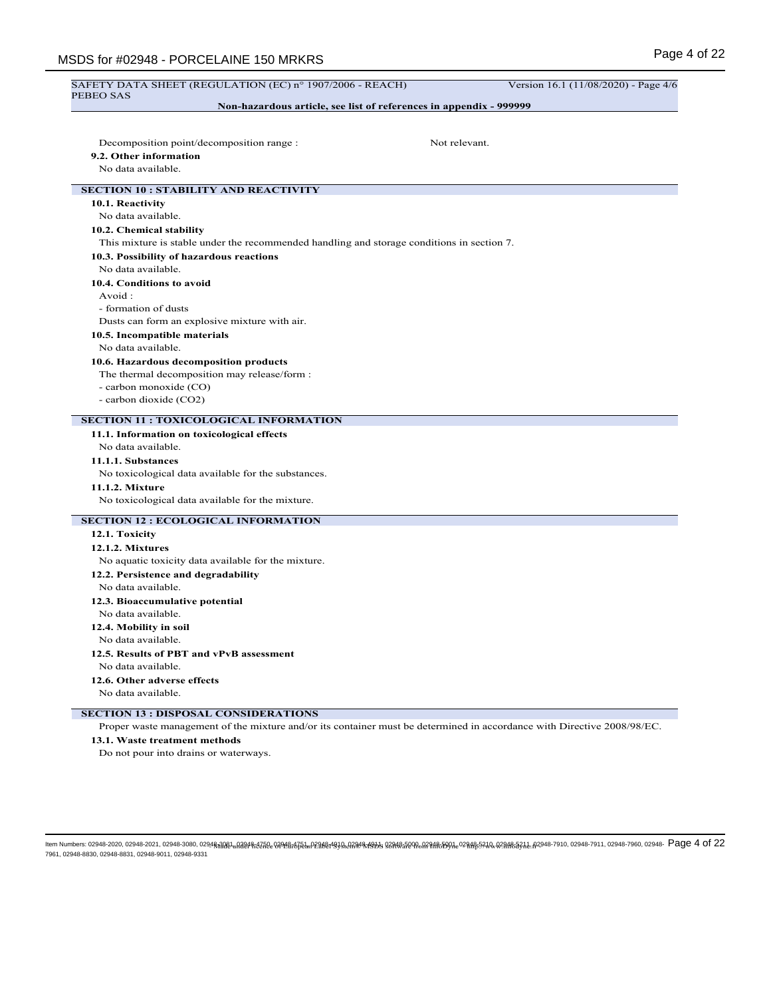| SAFETY DATA SHEET (REGULATION (EC) n° 1907/2006 - REACH)                                   | Version 16.1 (11/08/2020) - Page 4/6 |
|--------------------------------------------------------------------------------------------|--------------------------------------|
| PEBEO SAS<br>Non-hazardous article, see list of references in appendix - 999999            |                                      |
|                                                                                            |                                      |
| Decomposition point/decomposition range :<br>Not relevant.                                 |                                      |
| 9.2. Other information                                                                     |                                      |
| No data available.                                                                         |                                      |
| <b>SECTION 10 : STABILITY AND REACTIVITY</b>                                               |                                      |
| 10.1. Reactivity                                                                           |                                      |
| No data available.                                                                         |                                      |
| 10.2. Chemical stability                                                                   |                                      |
| This mixture is stable under the recommended handling and storage conditions in section 7. |                                      |
| 10.3. Possibility of hazardous reactions                                                   |                                      |
| No data available.                                                                         |                                      |
| 10.4. Conditions to avoid                                                                  |                                      |
| Avoid:                                                                                     |                                      |
| - formation of dusts                                                                       |                                      |
| Dusts can form an explosive mixture with air.                                              |                                      |
| 10.5. Incompatible materials                                                               |                                      |
| No data available.                                                                         |                                      |
| 10.6. Hazardous decomposition products                                                     |                                      |
| The thermal decomposition may release/form :                                               |                                      |
| - carbon monoxide (CO)                                                                     |                                      |
| - carbon dioxide (CO2)                                                                     |                                      |
| <b>SECTION 11 : TOXICOLOGICAL INFORMATION</b>                                              |                                      |
|                                                                                            |                                      |
| 11.1. Information on toxicological effects<br>No data available.                           |                                      |
| 11.1.1. Substances                                                                         |                                      |
| No toxicological data available for the substances.                                        |                                      |
| 11.1.2. Mixture                                                                            |                                      |
| No toxicological data available for the mixture.                                           |                                      |
| <b>SECTION 12 : ECOLOGICAL INFORMATION</b>                                                 |                                      |
| 12.1. Toxicity                                                                             |                                      |
| 12.1.2. Mixtures                                                                           |                                      |
| No aquatic toxicity data available for the mixture.                                        |                                      |
| 12.2. Persistence and degradability                                                        |                                      |
| No data available.                                                                         |                                      |
| 12.3. Bioaccumulative potential                                                            |                                      |
| No data available.                                                                         |                                      |
| 12.4. Mobility in soil                                                                     |                                      |
| No data available.                                                                         |                                      |
| 12.5. Results of PBT and vPvB assessment                                                   |                                      |
|                                                                                            |                                      |
| No data available.                                                                         |                                      |
| 12.6. Other adverse effects                                                                |                                      |

# **SECTION 13 : DISPOSAL CONSIDERATIONS**

Proper waste management of the mixture and/or its container must be determined in accordance with Directive 2008/98/EC.

# **13.1. Waste treatment methods**

Do not pour into drains or waterways.

ltem Numbers: 02948-2020, 02948-2021, 02948-3080, 0294<del>8,2021, 122948;12722, 02948;8752...p231821939,0,2788%,199</del>%8<del>2748,5900,027818,5901,</del>02781855920,029485391,02948-7910, 02948-7911, 02948-7910, 02948-7910, 02948-7911, 7961, 02948-8830, 02948-8831, 02948-9011, 02948-9331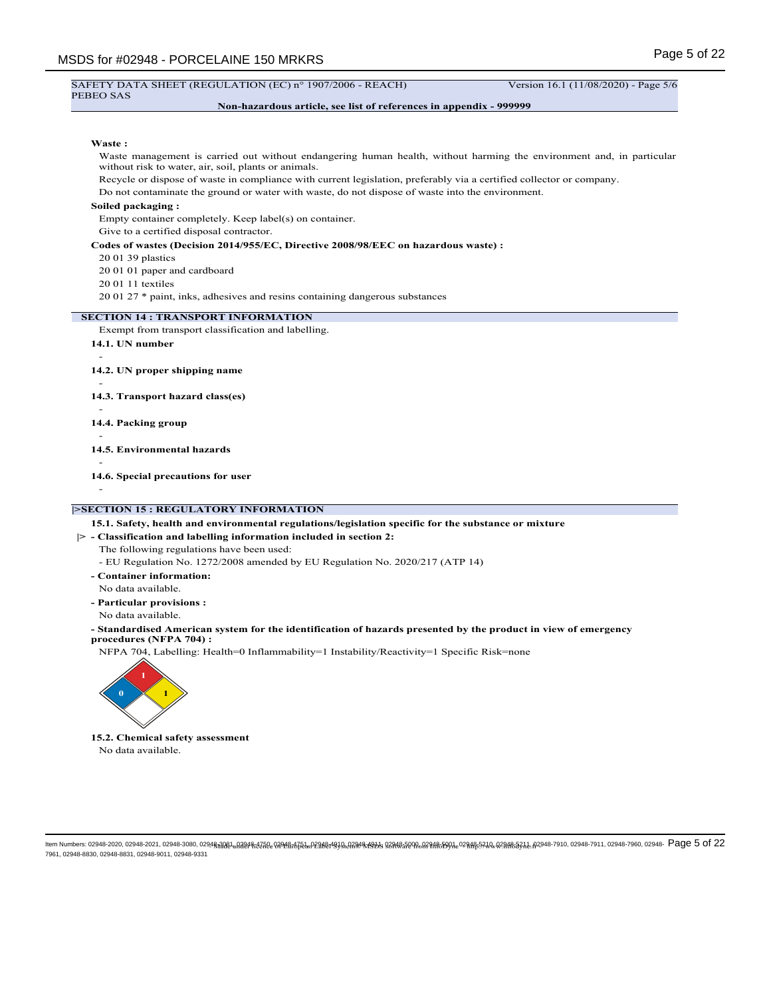#### SAFETY DATA SHEET (REGULATION (EC) n° 1907/2006 - REACH) Version 16.1 (11/08/2020) - Page 5/6 PEBEO SAS

## **Non-hazardous article, see list of references in appendix - 999999**

### **Waste :**

Waste management is carried out without endangering human health, without harming the environment and, in particular without risk to water, air, soil, plants or animals.

Recycle or dispose of waste in compliance with current legislation, preferably via a certified collector or company.

Do not contaminate the ground or water with waste, do not dispose of waste into the environment.

## **Soiled packaging :**

Empty container completely. Keep label(s) on container.

Give to a certified disposal contractor.

#### **Codes of wastes (Decision 2014/955/EC, Directive 2008/98/EEC on hazardous waste) :**

20 01 39 plastics

20 01 01 paper and cardboard

20 01 11 textiles

20 01 27 \* paint, inks, adhesives and resins containing dangerous substances

## **SECTION 14 : TRANSPORT INFORMATION**

Exempt from transport classification and labelling.

**14.1. UN number**

**14.2. UN proper shipping name**

**14.3. Transport hazard class(es)**

- **14.4. Packing group**
- -

-

-

**14.5. Environmental hazards**

- **14.6. Special precautions for user**
- -

## **|>SECTION 15 : REGULATORY INFORMATION**

# **15.1. Safety, health and environmental regulations/legislation specific for the substance or mixture**

**|> - Classification and labelling information included in section 2:**

The following regulations have been used:

- EU Regulation No. 1272/2008 amended by EU Regulation No. 2020/217 (ATP 14)
- **Container information:**
- No data available. **- Particular provisions :**
- No data available.

**- Standardised American system for the identification of hazards presented by the product in view of emergency procedures (NFPA 704) :**

NFPA 704, Labelling: Health=0 Inflammability=1 Instability/Reactivity=1 Specific Risk=none



**15.2. Chemical safety assessment** No data available.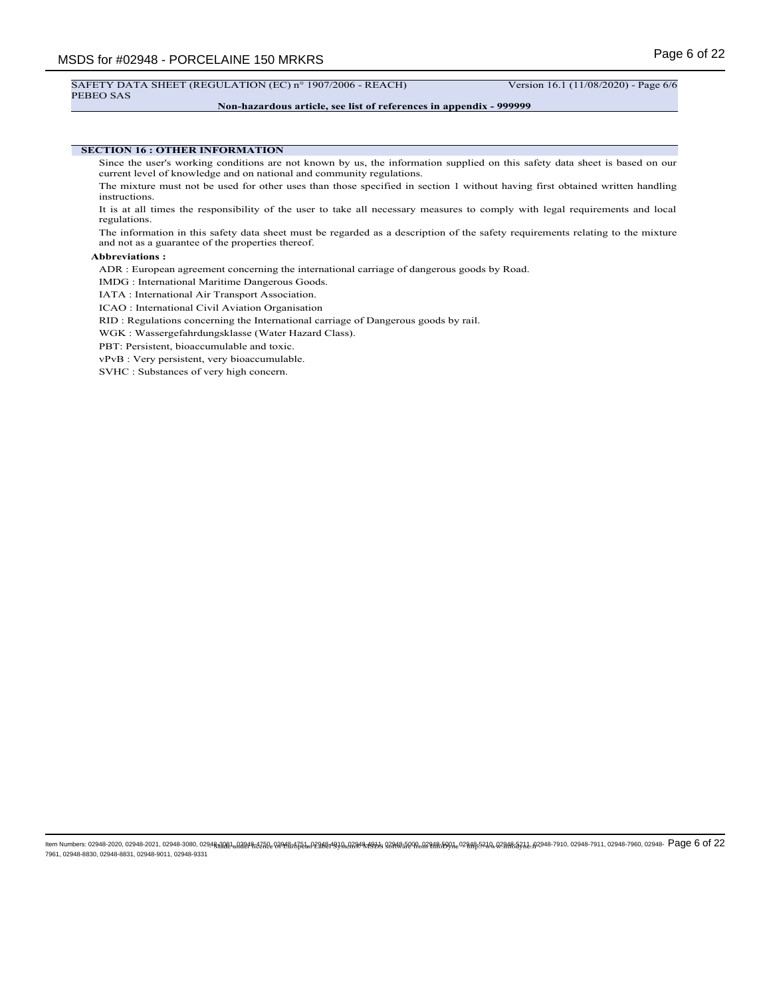## SAFETY DATA SHEET (REGULATION (EC) n° 1907/2006 - REACH) Version 16.1 (11/08/2020) - Page 6/6

PEBEO SAS

## **Non-hazardous article, see list of references in appendix - 999999**

## **SECTION 16 : OTHER INFORMATION**

Since the user's working conditions are not known by us, the information supplied on this safety data sheet is based on our current level of knowledge and on national and community regulations.

The mixture must not be used for other uses than those specified in section 1 without having first obtained written handling instructions.

It is at all times the responsibility of the user to take all necessary measures to comply with legal requirements and local regulations.

The information in this safety data sheet must be regarded as a description of the safety requirements relating to the mixture and not as a guarantee of the properties thereof.

#### **Abbreviations :**

ADR : European agreement concerning the international carriage of dangerous goods by Road.

IMDG : International Maritime Dangerous Goods.

IATA : International Air Transport Association.

ICAO : International Civil Aviation Organisation

RID : Regulations concerning the International carriage of Dangerous goods by rail.

WGK : Wassergefahrdungsklasse (Water Hazard Class).

PBT: Persistent, bioaccumulable and toxic.

vPvB : Very persistent, very bioaccumulable.

SVHC : Substances of very high concern.

ltem Numbers: 02948-2020, 02948-2021, 02948-3080, 0294<del>8,2021, 12298,1252, 02948;8752. 02948;8751. 02848;7899,0,2788,8590,02788,590,027818;590,02918;592,0,029485363,2,02948-7910, 02948-7911, 02948-7910, 02948-7910, 02948-</del> 7961, 02948-8830, 02948-8831, 02948-9011, 02948-9331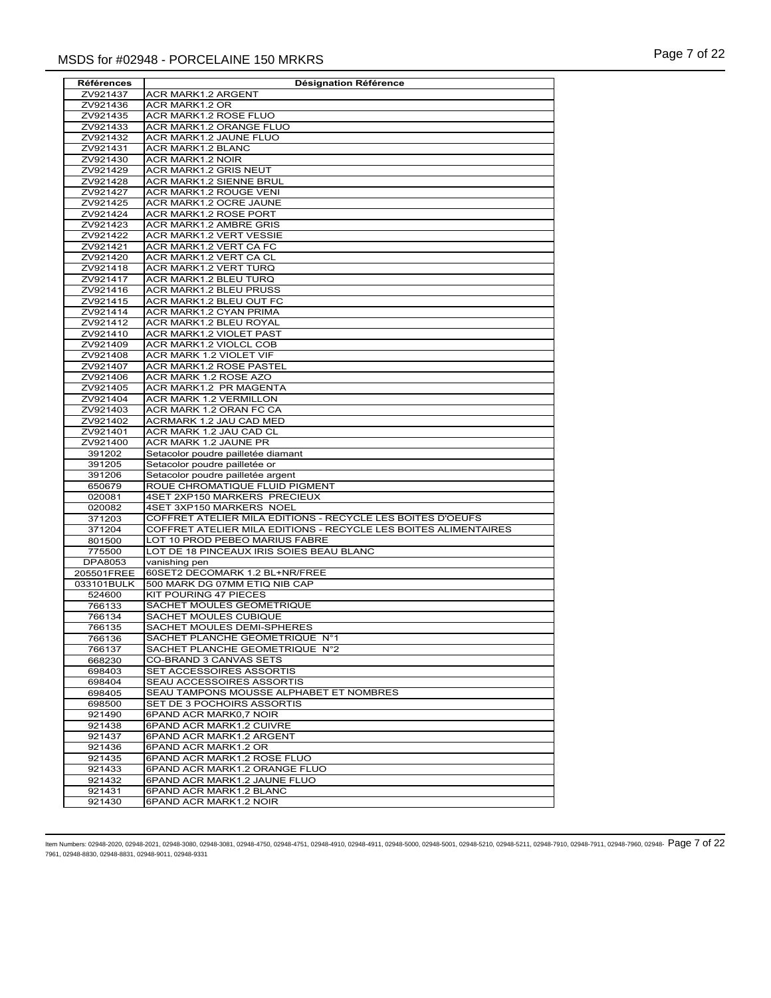| ZV921437<br>ACR MARK1.2 ARGENT<br>ACR MARK1.2 OR<br>ZV921436<br>ZV921435<br>ACR MARK1.2 ROSE FLUO<br>ZV921433<br>ACR MARK1.2 ORANGE FLUO<br>ZV921432<br>ACR MARK1.2 JAUNE FLUO<br>ACR MARK1.2 BLANC<br>ZV921431<br>ACR MARK1.2 NOIR<br>ZV921430<br>ZV921429<br>ACR MARK1.2 GRIS NEUT<br>ACR MARK1.2 SIENNE BRUL<br>ZV921428<br>ZV921427<br>ACR MARK1.2 ROUGE VENI<br>ACR MARK1.2 OCRE JAUNE<br>ZV921425<br>ZV921424<br>ACR MARK1.2 ROSE PORT<br>ZV921423<br>ACR MARK1.2 AMBRE GRIS<br>ACR MARK1.2 VERT VESSIE<br>ZV921422<br>ACR MARK1.2 VERT CA FC<br>ZV921421<br>ACR MARK1.2 VERT CA CL<br>ZV921420<br>ZV921418<br>ACR MARK1.2 VERT TURQ<br>ACR MARK1.2 BLEU TURQ<br>ZV921417<br>ZV921416<br>ACR MARK1.2 BLEU PRUSS<br>ZV921415<br>ACR MARK1.2 BLEU OUT FC<br>ZV921414<br>ACR MARK1.2 CYAN PRIMA<br>ZV921412<br>ACR MARK1.2 BLEU ROYAL<br>ACR MARK1.2 VIOLET PAST<br>ZV921410<br>ACR MARK1.2 VIOLCL COB<br>ZV921409<br>ZV921408<br>ACR MARK 1.2 VIOLET VIF<br>ZV921407<br>ACR MARK1.2 ROSE PASTEL<br>ACR MARK 1.2 ROSE AZO<br>ZV921406<br>ACR MARK1.2 PR MAGENTA<br>ZV921405<br>ZV921404<br>ACR MARK 1.2 VERMILLON<br>ZV921403<br>ACR MARK 1.2 ORAN FC CA<br>ACRMARK 1.2 JAU CAD MED<br>ZV921402<br>ACR MARK 1.2 JAU CAD CL<br>ZV921401<br>ZV921400<br>ACR MARK 1.2 JAUNE PR<br>Setacolor poudre pailletée diamant<br>391202<br>Setacolor poudre pailletée or<br>391205<br>391206<br>Setacolor poudre pailletée argent<br>ROUE CHROMATIQUE FLUID PIGMENT<br>650679<br>020081<br>4SET 2XP150 MARKERS PRECIEUX<br>4SET 3XP150 MARKERS NOEL<br>020082<br>COFFRET ATELIER MILA EDITIONS - RECYCLE LES BOITES D'OEUFS<br>371203<br>COFFRET ATELIER MILA EDITIONS - RECYCLE LES BOITES ALIMENTAIRES<br>371204<br>801500<br>LOT 10 PROD PEBEO MARIUS FABRE<br>775500<br>LOT DE 18 PINCEAUX IRIS SOIES BEAU BLANC<br>DPA8053<br>vanishing pen<br>205501FREE<br>60SET2 DECOMARK 1.2 BL+NR/FREE<br>033101BULK<br>500 MARK DG 07MM ETIQ NIB CAP<br><b>KIT POURING 47 PIECES</b><br>524600<br>SACHET MOULES GEOMETRIQUE<br>766133<br>SACHET MOULES CUBIQUE<br>766134<br>SACHET MOULES DEMI-SPHERES<br>766135<br>SACHET PLANCHE GEOMETRIQUE N°1<br>766136<br>SACHET PLANCHE GEOMETRIQUE N°2<br>766137<br><b>CO-BRAND 3 CANVAS SETS</b><br>668230<br>SET ACCESSOIRES ASSORTIS<br>698403<br>SEAU ACCESSOIRES ASSORTIS<br>698404<br>SEAU TAMPONS MOUSSE ALPHABET ET NOMBRES<br>698405<br>SET DE 3 POCHOIRS ASSORTIS<br>698500<br>6PAND ACR MARK0,7 NOIR<br>921490<br>6PAND ACR MARK1.2 CUIVRE<br>921438<br>6PAND ACR MARK1.2 ARGENT<br>921437<br>6PAND ACR MARK1.2 OR<br>921436<br>6PAND ACR MARK1.2 ROSE FLUO<br>921435<br>921433<br>6PAND ACR MARK1.2 ORANGE FLUO | Références | <b>Désignation Référence</b> |
|-------------------------------------------------------------------------------------------------------------------------------------------------------------------------------------------------------------------------------------------------------------------------------------------------------------------------------------------------------------------------------------------------------------------------------------------------------------------------------------------------------------------------------------------------------------------------------------------------------------------------------------------------------------------------------------------------------------------------------------------------------------------------------------------------------------------------------------------------------------------------------------------------------------------------------------------------------------------------------------------------------------------------------------------------------------------------------------------------------------------------------------------------------------------------------------------------------------------------------------------------------------------------------------------------------------------------------------------------------------------------------------------------------------------------------------------------------------------------------------------------------------------------------------------------------------------------------------------------------------------------------------------------------------------------------------------------------------------------------------------------------------------------------------------------------------------------------------------------------------------------------------------------------------------------------------------------------------------------------------------------------------------------------------------------------------------------------------------------------------------------------------------------------------------------------------------------------------------------------------------------------------------------------------------------------------------------------------------------------------------------------------------------------------------------------------------------------------------------------------------------------------------------------------------------------------------------------------------------------------------------------------------------------|------------|------------------------------|
|                                                                                                                                                                                                                                                                                                                                                                                                                                                                                                                                                                                                                                                                                                                                                                                                                                                                                                                                                                                                                                                                                                                                                                                                                                                                                                                                                                                                                                                                                                                                                                                                                                                                                                                                                                                                                                                                                                                                                                                                                                                                                                                                                                                                                                                                                                                                                                                                                                                                                                                                                                                                                                                       |            |                              |
|                                                                                                                                                                                                                                                                                                                                                                                                                                                                                                                                                                                                                                                                                                                                                                                                                                                                                                                                                                                                                                                                                                                                                                                                                                                                                                                                                                                                                                                                                                                                                                                                                                                                                                                                                                                                                                                                                                                                                                                                                                                                                                                                                                                                                                                                                                                                                                                                                                                                                                                                                                                                                                                       |            |                              |
|                                                                                                                                                                                                                                                                                                                                                                                                                                                                                                                                                                                                                                                                                                                                                                                                                                                                                                                                                                                                                                                                                                                                                                                                                                                                                                                                                                                                                                                                                                                                                                                                                                                                                                                                                                                                                                                                                                                                                                                                                                                                                                                                                                                                                                                                                                                                                                                                                                                                                                                                                                                                                                                       |            |                              |
|                                                                                                                                                                                                                                                                                                                                                                                                                                                                                                                                                                                                                                                                                                                                                                                                                                                                                                                                                                                                                                                                                                                                                                                                                                                                                                                                                                                                                                                                                                                                                                                                                                                                                                                                                                                                                                                                                                                                                                                                                                                                                                                                                                                                                                                                                                                                                                                                                                                                                                                                                                                                                                                       |            |                              |
|                                                                                                                                                                                                                                                                                                                                                                                                                                                                                                                                                                                                                                                                                                                                                                                                                                                                                                                                                                                                                                                                                                                                                                                                                                                                                                                                                                                                                                                                                                                                                                                                                                                                                                                                                                                                                                                                                                                                                                                                                                                                                                                                                                                                                                                                                                                                                                                                                                                                                                                                                                                                                                                       |            |                              |
|                                                                                                                                                                                                                                                                                                                                                                                                                                                                                                                                                                                                                                                                                                                                                                                                                                                                                                                                                                                                                                                                                                                                                                                                                                                                                                                                                                                                                                                                                                                                                                                                                                                                                                                                                                                                                                                                                                                                                                                                                                                                                                                                                                                                                                                                                                                                                                                                                                                                                                                                                                                                                                                       |            |                              |
|                                                                                                                                                                                                                                                                                                                                                                                                                                                                                                                                                                                                                                                                                                                                                                                                                                                                                                                                                                                                                                                                                                                                                                                                                                                                                                                                                                                                                                                                                                                                                                                                                                                                                                                                                                                                                                                                                                                                                                                                                                                                                                                                                                                                                                                                                                                                                                                                                                                                                                                                                                                                                                                       |            |                              |
|                                                                                                                                                                                                                                                                                                                                                                                                                                                                                                                                                                                                                                                                                                                                                                                                                                                                                                                                                                                                                                                                                                                                                                                                                                                                                                                                                                                                                                                                                                                                                                                                                                                                                                                                                                                                                                                                                                                                                                                                                                                                                                                                                                                                                                                                                                                                                                                                                                                                                                                                                                                                                                                       |            |                              |
|                                                                                                                                                                                                                                                                                                                                                                                                                                                                                                                                                                                                                                                                                                                                                                                                                                                                                                                                                                                                                                                                                                                                                                                                                                                                                                                                                                                                                                                                                                                                                                                                                                                                                                                                                                                                                                                                                                                                                                                                                                                                                                                                                                                                                                                                                                                                                                                                                                                                                                                                                                                                                                                       |            |                              |
|                                                                                                                                                                                                                                                                                                                                                                                                                                                                                                                                                                                                                                                                                                                                                                                                                                                                                                                                                                                                                                                                                                                                                                                                                                                                                                                                                                                                                                                                                                                                                                                                                                                                                                                                                                                                                                                                                                                                                                                                                                                                                                                                                                                                                                                                                                                                                                                                                                                                                                                                                                                                                                                       |            |                              |
|                                                                                                                                                                                                                                                                                                                                                                                                                                                                                                                                                                                                                                                                                                                                                                                                                                                                                                                                                                                                                                                                                                                                                                                                                                                                                                                                                                                                                                                                                                                                                                                                                                                                                                                                                                                                                                                                                                                                                                                                                                                                                                                                                                                                                                                                                                                                                                                                                                                                                                                                                                                                                                                       |            |                              |
|                                                                                                                                                                                                                                                                                                                                                                                                                                                                                                                                                                                                                                                                                                                                                                                                                                                                                                                                                                                                                                                                                                                                                                                                                                                                                                                                                                                                                                                                                                                                                                                                                                                                                                                                                                                                                                                                                                                                                                                                                                                                                                                                                                                                                                                                                                                                                                                                                                                                                                                                                                                                                                                       |            |                              |
|                                                                                                                                                                                                                                                                                                                                                                                                                                                                                                                                                                                                                                                                                                                                                                                                                                                                                                                                                                                                                                                                                                                                                                                                                                                                                                                                                                                                                                                                                                                                                                                                                                                                                                                                                                                                                                                                                                                                                                                                                                                                                                                                                                                                                                                                                                                                                                                                                                                                                                                                                                                                                                                       |            |                              |
|                                                                                                                                                                                                                                                                                                                                                                                                                                                                                                                                                                                                                                                                                                                                                                                                                                                                                                                                                                                                                                                                                                                                                                                                                                                                                                                                                                                                                                                                                                                                                                                                                                                                                                                                                                                                                                                                                                                                                                                                                                                                                                                                                                                                                                                                                                                                                                                                                                                                                                                                                                                                                                                       |            |                              |
|                                                                                                                                                                                                                                                                                                                                                                                                                                                                                                                                                                                                                                                                                                                                                                                                                                                                                                                                                                                                                                                                                                                                                                                                                                                                                                                                                                                                                                                                                                                                                                                                                                                                                                                                                                                                                                                                                                                                                                                                                                                                                                                                                                                                                                                                                                                                                                                                                                                                                                                                                                                                                                                       |            |                              |
|                                                                                                                                                                                                                                                                                                                                                                                                                                                                                                                                                                                                                                                                                                                                                                                                                                                                                                                                                                                                                                                                                                                                                                                                                                                                                                                                                                                                                                                                                                                                                                                                                                                                                                                                                                                                                                                                                                                                                                                                                                                                                                                                                                                                                                                                                                                                                                                                                                                                                                                                                                                                                                                       |            |                              |
|                                                                                                                                                                                                                                                                                                                                                                                                                                                                                                                                                                                                                                                                                                                                                                                                                                                                                                                                                                                                                                                                                                                                                                                                                                                                                                                                                                                                                                                                                                                                                                                                                                                                                                                                                                                                                                                                                                                                                                                                                                                                                                                                                                                                                                                                                                                                                                                                                                                                                                                                                                                                                                                       |            |                              |
|                                                                                                                                                                                                                                                                                                                                                                                                                                                                                                                                                                                                                                                                                                                                                                                                                                                                                                                                                                                                                                                                                                                                                                                                                                                                                                                                                                                                                                                                                                                                                                                                                                                                                                                                                                                                                                                                                                                                                                                                                                                                                                                                                                                                                                                                                                                                                                                                                                                                                                                                                                                                                                                       |            |                              |
|                                                                                                                                                                                                                                                                                                                                                                                                                                                                                                                                                                                                                                                                                                                                                                                                                                                                                                                                                                                                                                                                                                                                                                                                                                                                                                                                                                                                                                                                                                                                                                                                                                                                                                                                                                                                                                                                                                                                                                                                                                                                                                                                                                                                                                                                                                                                                                                                                                                                                                                                                                                                                                                       |            |                              |
|                                                                                                                                                                                                                                                                                                                                                                                                                                                                                                                                                                                                                                                                                                                                                                                                                                                                                                                                                                                                                                                                                                                                                                                                                                                                                                                                                                                                                                                                                                                                                                                                                                                                                                                                                                                                                                                                                                                                                                                                                                                                                                                                                                                                                                                                                                                                                                                                                                                                                                                                                                                                                                                       |            |                              |
|                                                                                                                                                                                                                                                                                                                                                                                                                                                                                                                                                                                                                                                                                                                                                                                                                                                                                                                                                                                                                                                                                                                                                                                                                                                                                                                                                                                                                                                                                                                                                                                                                                                                                                                                                                                                                                                                                                                                                                                                                                                                                                                                                                                                                                                                                                                                                                                                                                                                                                                                                                                                                                                       |            |                              |
|                                                                                                                                                                                                                                                                                                                                                                                                                                                                                                                                                                                                                                                                                                                                                                                                                                                                                                                                                                                                                                                                                                                                                                                                                                                                                                                                                                                                                                                                                                                                                                                                                                                                                                                                                                                                                                                                                                                                                                                                                                                                                                                                                                                                                                                                                                                                                                                                                                                                                                                                                                                                                                                       |            |                              |
|                                                                                                                                                                                                                                                                                                                                                                                                                                                                                                                                                                                                                                                                                                                                                                                                                                                                                                                                                                                                                                                                                                                                                                                                                                                                                                                                                                                                                                                                                                                                                                                                                                                                                                                                                                                                                                                                                                                                                                                                                                                                                                                                                                                                                                                                                                                                                                                                                                                                                                                                                                                                                                                       |            |                              |
|                                                                                                                                                                                                                                                                                                                                                                                                                                                                                                                                                                                                                                                                                                                                                                                                                                                                                                                                                                                                                                                                                                                                                                                                                                                                                                                                                                                                                                                                                                                                                                                                                                                                                                                                                                                                                                                                                                                                                                                                                                                                                                                                                                                                                                                                                                                                                                                                                                                                                                                                                                                                                                                       |            |                              |
|                                                                                                                                                                                                                                                                                                                                                                                                                                                                                                                                                                                                                                                                                                                                                                                                                                                                                                                                                                                                                                                                                                                                                                                                                                                                                                                                                                                                                                                                                                                                                                                                                                                                                                                                                                                                                                                                                                                                                                                                                                                                                                                                                                                                                                                                                                                                                                                                                                                                                                                                                                                                                                                       |            |                              |
|                                                                                                                                                                                                                                                                                                                                                                                                                                                                                                                                                                                                                                                                                                                                                                                                                                                                                                                                                                                                                                                                                                                                                                                                                                                                                                                                                                                                                                                                                                                                                                                                                                                                                                                                                                                                                                                                                                                                                                                                                                                                                                                                                                                                                                                                                                                                                                                                                                                                                                                                                                                                                                                       |            |                              |
|                                                                                                                                                                                                                                                                                                                                                                                                                                                                                                                                                                                                                                                                                                                                                                                                                                                                                                                                                                                                                                                                                                                                                                                                                                                                                                                                                                                                                                                                                                                                                                                                                                                                                                                                                                                                                                                                                                                                                                                                                                                                                                                                                                                                                                                                                                                                                                                                                                                                                                                                                                                                                                                       |            |                              |
|                                                                                                                                                                                                                                                                                                                                                                                                                                                                                                                                                                                                                                                                                                                                                                                                                                                                                                                                                                                                                                                                                                                                                                                                                                                                                                                                                                                                                                                                                                                                                                                                                                                                                                                                                                                                                                                                                                                                                                                                                                                                                                                                                                                                                                                                                                                                                                                                                                                                                                                                                                                                                                                       |            |                              |
|                                                                                                                                                                                                                                                                                                                                                                                                                                                                                                                                                                                                                                                                                                                                                                                                                                                                                                                                                                                                                                                                                                                                                                                                                                                                                                                                                                                                                                                                                                                                                                                                                                                                                                                                                                                                                                                                                                                                                                                                                                                                                                                                                                                                                                                                                                                                                                                                                                                                                                                                                                                                                                                       |            |                              |
|                                                                                                                                                                                                                                                                                                                                                                                                                                                                                                                                                                                                                                                                                                                                                                                                                                                                                                                                                                                                                                                                                                                                                                                                                                                                                                                                                                                                                                                                                                                                                                                                                                                                                                                                                                                                                                                                                                                                                                                                                                                                                                                                                                                                                                                                                                                                                                                                                                                                                                                                                                                                                                                       |            |                              |
|                                                                                                                                                                                                                                                                                                                                                                                                                                                                                                                                                                                                                                                                                                                                                                                                                                                                                                                                                                                                                                                                                                                                                                                                                                                                                                                                                                                                                                                                                                                                                                                                                                                                                                                                                                                                                                                                                                                                                                                                                                                                                                                                                                                                                                                                                                                                                                                                                                                                                                                                                                                                                                                       |            |                              |
|                                                                                                                                                                                                                                                                                                                                                                                                                                                                                                                                                                                                                                                                                                                                                                                                                                                                                                                                                                                                                                                                                                                                                                                                                                                                                                                                                                                                                                                                                                                                                                                                                                                                                                                                                                                                                                                                                                                                                                                                                                                                                                                                                                                                                                                                                                                                                                                                                                                                                                                                                                                                                                                       |            |                              |
|                                                                                                                                                                                                                                                                                                                                                                                                                                                                                                                                                                                                                                                                                                                                                                                                                                                                                                                                                                                                                                                                                                                                                                                                                                                                                                                                                                                                                                                                                                                                                                                                                                                                                                                                                                                                                                                                                                                                                                                                                                                                                                                                                                                                                                                                                                                                                                                                                                                                                                                                                                                                                                                       |            |                              |
|                                                                                                                                                                                                                                                                                                                                                                                                                                                                                                                                                                                                                                                                                                                                                                                                                                                                                                                                                                                                                                                                                                                                                                                                                                                                                                                                                                                                                                                                                                                                                                                                                                                                                                                                                                                                                                                                                                                                                                                                                                                                                                                                                                                                                                                                                                                                                                                                                                                                                                                                                                                                                                                       |            |                              |
|                                                                                                                                                                                                                                                                                                                                                                                                                                                                                                                                                                                                                                                                                                                                                                                                                                                                                                                                                                                                                                                                                                                                                                                                                                                                                                                                                                                                                                                                                                                                                                                                                                                                                                                                                                                                                                                                                                                                                                                                                                                                                                                                                                                                                                                                                                                                                                                                                                                                                                                                                                                                                                                       |            |                              |
|                                                                                                                                                                                                                                                                                                                                                                                                                                                                                                                                                                                                                                                                                                                                                                                                                                                                                                                                                                                                                                                                                                                                                                                                                                                                                                                                                                                                                                                                                                                                                                                                                                                                                                                                                                                                                                                                                                                                                                                                                                                                                                                                                                                                                                                                                                                                                                                                                                                                                                                                                                                                                                                       |            |                              |
|                                                                                                                                                                                                                                                                                                                                                                                                                                                                                                                                                                                                                                                                                                                                                                                                                                                                                                                                                                                                                                                                                                                                                                                                                                                                                                                                                                                                                                                                                                                                                                                                                                                                                                                                                                                                                                                                                                                                                                                                                                                                                                                                                                                                                                                                                                                                                                                                                                                                                                                                                                                                                                                       |            |                              |
|                                                                                                                                                                                                                                                                                                                                                                                                                                                                                                                                                                                                                                                                                                                                                                                                                                                                                                                                                                                                                                                                                                                                                                                                                                                                                                                                                                                                                                                                                                                                                                                                                                                                                                                                                                                                                                                                                                                                                                                                                                                                                                                                                                                                                                                                                                                                                                                                                                                                                                                                                                                                                                                       |            |                              |
|                                                                                                                                                                                                                                                                                                                                                                                                                                                                                                                                                                                                                                                                                                                                                                                                                                                                                                                                                                                                                                                                                                                                                                                                                                                                                                                                                                                                                                                                                                                                                                                                                                                                                                                                                                                                                                                                                                                                                                                                                                                                                                                                                                                                                                                                                                                                                                                                                                                                                                                                                                                                                                                       |            |                              |
|                                                                                                                                                                                                                                                                                                                                                                                                                                                                                                                                                                                                                                                                                                                                                                                                                                                                                                                                                                                                                                                                                                                                                                                                                                                                                                                                                                                                                                                                                                                                                                                                                                                                                                                                                                                                                                                                                                                                                                                                                                                                                                                                                                                                                                                                                                                                                                                                                                                                                                                                                                                                                                                       |            |                              |
|                                                                                                                                                                                                                                                                                                                                                                                                                                                                                                                                                                                                                                                                                                                                                                                                                                                                                                                                                                                                                                                                                                                                                                                                                                                                                                                                                                                                                                                                                                                                                                                                                                                                                                                                                                                                                                                                                                                                                                                                                                                                                                                                                                                                                                                                                                                                                                                                                                                                                                                                                                                                                                                       |            |                              |
|                                                                                                                                                                                                                                                                                                                                                                                                                                                                                                                                                                                                                                                                                                                                                                                                                                                                                                                                                                                                                                                                                                                                                                                                                                                                                                                                                                                                                                                                                                                                                                                                                                                                                                                                                                                                                                                                                                                                                                                                                                                                                                                                                                                                                                                                                                                                                                                                                                                                                                                                                                                                                                                       |            |                              |
|                                                                                                                                                                                                                                                                                                                                                                                                                                                                                                                                                                                                                                                                                                                                                                                                                                                                                                                                                                                                                                                                                                                                                                                                                                                                                                                                                                                                                                                                                                                                                                                                                                                                                                                                                                                                                                                                                                                                                                                                                                                                                                                                                                                                                                                                                                                                                                                                                                                                                                                                                                                                                                                       |            |                              |
|                                                                                                                                                                                                                                                                                                                                                                                                                                                                                                                                                                                                                                                                                                                                                                                                                                                                                                                                                                                                                                                                                                                                                                                                                                                                                                                                                                                                                                                                                                                                                                                                                                                                                                                                                                                                                                                                                                                                                                                                                                                                                                                                                                                                                                                                                                                                                                                                                                                                                                                                                                                                                                                       |            |                              |
|                                                                                                                                                                                                                                                                                                                                                                                                                                                                                                                                                                                                                                                                                                                                                                                                                                                                                                                                                                                                                                                                                                                                                                                                                                                                                                                                                                                                                                                                                                                                                                                                                                                                                                                                                                                                                                                                                                                                                                                                                                                                                                                                                                                                                                                                                                                                                                                                                                                                                                                                                                                                                                                       |            |                              |
|                                                                                                                                                                                                                                                                                                                                                                                                                                                                                                                                                                                                                                                                                                                                                                                                                                                                                                                                                                                                                                                                                                                                                                                                                                                                                                                                                                                                                                                                                                                                                                                                                                                                                                                                                                                                                                                                                                                                                                                                                                                                                                                                                                                                                                                                                                                                                                                                                                                                                                                                                                                                                                                       |            |                              |
|                                                                                                                                                                                                                                                                                                                                                                                                                                                                                                                                                                                                                                                                                                                                                                                                                                                                                                                                                                                                                                                                                                                                                                                                                                                                                                                                                                                                                                                                                                                                                                                                                                                                                                                                                                                                                                                                                                                                                                                                                                                                                                                                                                                                                                                                                                                                                                                                                                                                                                                                                                                                                                                       |            |                              |
|                                                                                                                                                                                                                                                                                                                                                                                                                                                                                                                                                                                                                                                                                                                                                                                                                                                                                                                                                                                                                                                                                                                                                                                                                                                                                                                                                                                                                                                                                                                                                                                                                                                                                                                                                                                                                                                                                                                                                                                                                                                                                                                                                                                                                                                                                                                                                                                                                                                                                                                                                                                                                                                       |            |                              |
|                                                                                                                                                                                                                                                                                                                                                                                                                                                                                                                                                                                                                                                                                                                                                                                                                                                                                                                                                                                                                                                                                                                                                                                                                                                                                                                                                                                                                                                                                                                                                                                                                                                                                                                                                                                                                                                                                                                                                                                                                                                                                                                                                                                                                                                                                                                                                                                                                                                                                                                                                                                                                                                       |            |                              |
|                                                                                                                                                                                                                                                                                                                                                                                                                                                                                                                                                                                                                                                                                                                                                                                                                                                                                                                                                                                                                                                                                                                                                                                                                                                                                                                                                                                                                                                                                                                                                                                                                                                                                                                                                                                                                                                                                                                                                                                                                                                                                                                                                                                                                                                                                                                                                                                                                                                                                                                                                                                                                                                       |            |                              |
|                                                                                                                                                                                                                                                                                                                                                                                                                                                                                                                                                                                                                                                                                                                                                                                                                                                                                                                                                                                                                                                                                                                                                                                                                                                                                                                                                                                                                                                                                                                                                                                                                                                                                                                                                                                                                                                                                                                                                                                                                                                                                                                                                                                                                                                                                                                                                                                                                                                                                                                                                                                                                                                       |            |                              |
|                                                                                                                                                                                                                                                                                                                                                                                                                                                                                                                                                                                                                                                                                                                                                                                                                                                                                                                                                                                                                                                                                                                                                                                                                                                                                                                                                                                                                                                                                                                                                                                                                                                                                                                                                                                                                                                                                                                                                                                                                                                                                                                                                                                                                                                                                                                                                                                                                                                                                                                                                                                                                                                       |            |                              |
|                                                                                                                                                                                                                                                                                                                                                                                                                                                                                                                                                                                                                                                                                                                                                                                                                                                                                                                                                                                                                                                                                                                                                                                                                                                                                                                                                                                                                                                                                                                                                                                                                                                                                                                                                                                                                                                                                                                                                                                                                                                                                                                                                                                                                                                                                                                                                                                                                                                                                                                                                                                                                                                       |            |                              |
|                                                                                                                                                                                                                                                                                                                                                                                                                                                                                                                                                                                                                                                                                                                                                                                                                                                                                                                                                                                                                                                                                                                                                                                                                                                                                                                                                                                                                                                                                                                                                                                                                                                                                                                                                                                                                                                                                                                                                                                                                                                                                                                                                                                                                                                                                                                                                                                                                                                                                                                                                                                                                                                       |            |                              |
|                                                                                                                                                                                                                                                                                                                                                                                                                                                                                                                                                                                                                                                                                                                                                                                                                                                                                                                                                                                                                                                                                                                                                                                                                                                                                                                                                                                                                                                                                                                                                                                                                                                                                                                                                                                                                                                                                                                                                                                                                                                                                                                                                                                                                                                                                                                                                                                                                                                                                                                                                                                                                                                       |            |                              |
|                                                                                                                                                                                                                                                                                                                                                                                                                                                                                                                                                                                                                                                                                                                                                                                                                                                                                                                                                                                                                                                                                                                                                                                                                                                                                                                                                                                                                                                                                                                                                                                                                                                                                                                                                                                                                                                                                                                                                                                                                                                                                                                                                                                                                                                                                                                                                                                                                                                                                                                                                                                                                                                       |            |                              |
|                                                                                                                                                                                                                                                                                                                                                                                                                                                                                                                                                                                                                                                                                                                                                                                                                                                                                                                                                                                                                                                                                                                                                                                                                                                                                                                                                                                                                                                                                                                                                                                                                                                                                                                                                                                                                                                                                                                                                                                                                                                                                                                                                                                                                                                                                                                                                                                                                                                                                                                                                                                                                                                       |            |                              |
|                                                                                                                                                                                                                                                                                                                                                                                                                                                                                                                                                                                                                                                                                                                                                                                                                                                                                                                                                                                                                                                                                                                                                                                                                                                                                                                                                                                                                                                                                                                                                                                                                                                                                                                                                                                                                                                                                                                                                                                                                                                                                                                                                                                                                                                                                                                                                                                                                                                                                                                                                                                                                                                       |            |                              |
|                                                                                                                                                                                                                                                                                                                                                                                                                                                                                                                                                                                                                                                                                                                                                                                                                                                                                                                                                                                                                                                                                                                                                                                                                                                                                                                                                                                                                                                                                                                                                                                                                                                                                                                                                                                                                                                                                                                                                                                                                                                                                                                                                                                                                                                                                                                                                                                                                                                                                                                                                                                                                                                       |            |                              |
|                                                                                                                                                                                                                                                                                                                                                                                                                                                                                                                                                                                                                                                                                                                                                                                                                                                                                                                                                                                                                                                                                                                                                                                                                                                                                                                                                                                                                                                                                                                                                                                                                                                                                                                                                                                                                                                                                                                                                                                                                                                                                                                                                                                                                                                                                                                                                                                                                                                                                                                                                                                                                                                       |            |                              |
|                                                                                                                                                                                                                                                                                                                                                                                                                                                                                                                                                                                                                                                                                                                                                                                                                                                                                                                                                                                                                                                                                                                                                                                                                                                                                                                                                                                                                                                                                                                                                                                                                                                                                                                                                                                                                                                                                                                                                                                                                                                                                                                                                                                                                                                                                                                                                                                                                                                                                                                                                                                                                                                       | 921432     | 6PAND ACR MARK1.2 JAUNE FLUO |
| 921431<br>6PAND ACR MARK1.2 BLANC                                                                                                                                                                                                                                                                                                                                                                                                                                                                                                                                                                                                                                                                                                                                                                                                                                                                                                                                                                                                                                                                                                                                                                                                                                                                                                                                                                                                                                                                                                                                                                                                                                                                                                                                                                                                                                                                                                                                                                                                                                                                                                                                                                                                                                                                                                                                                                                                                                                                                                                                                                                                                     |            |                              |
| 6PAND ACR MARK1.2 NOIR<br>921430                                                                                                                                                                                                                                                                                                                                                                                                                                                                                                                                                                                                                                                                                                                                                                                                                                                                                                                                                                                                                                                                                                                                                                                                                                                                                                                                                                                                                                                                                                                                                                                                                                                                                                                                                                                                                                                                                                                                                                                                                                                                                                                                                                                                                                                                                                                                                                                                                                                                                                                                                                                                                      |            |                              |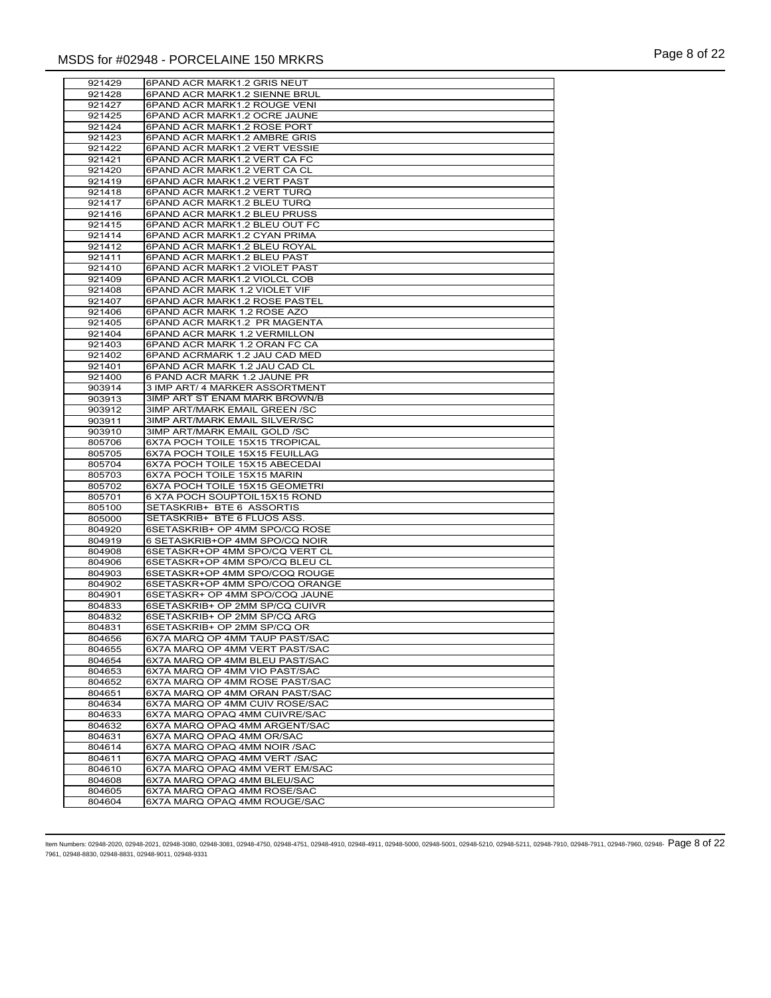| 921429 | 6PAND ACR MARK1.2 GRIS NEUT          |
|--------|--------------------------------------|
| 921428 | 6PAND ACR MARK1.2 SIENNE BRUL        |
| 921427 | 6PAND ACR MARK1.2 ROUGE VENI         |
| 921425 | 6PAND ACR MARK1.2 OCRE JAUNE         |
| 921424 | 6PAND ACR MARK1.2 ROSE PORT          |
|        |                                      |
| 921423 | 6PAND ACR MARK1.2 AMBRE GRIS         |
| 921422 | 6PAND ACR MARK1.2 VERT VESSIE        |
| 921421 | 6PAND ACR MARK1.2 VERT CA FC         |
| 921420 | 6PAND ACR MARK1.2 VERT CA CL         |
| 921419 |                                      |
|        | 6PAND ACR MARK1.2 VERT PAST          |
| 921418 | 6PAND ACR MARK1.2 VERT TURQ          |
| 921417 | 6PAND ACR MARK1.2 BLEU TURQ          |
| 921416 | 6PAND ACR MARK1.2 BLEU PRUSS         |
| 921415 | 6PAND ACR MARK1.2 BLEU OUT FC        |
| 921414 | 6PAND ACR MARK1.2 CYAN PRIMA         |
|        |                                      |
| 921412 | 6PAND ACR MARK1.2 BLEU ROYAL         |
| 921411 | 6PAND ACR MARK1.2 BLEU PAST          |
| 921410 | 6PAND ACR MARK1.2 VIOLET PAST        |
| 921409 | 6PAND ACR MARK1.2 VIOLCL COB         |
| 921408 | 6PAND ACR MARK 1.2 VIOLET VIF        |
|        |                                      |
| 921407 | 6PAND ACR MARK1.2 ROSE PASTEL        |
| 921406 | 6PAND ACR MARK 1.2 ROSE AZO          |
| 921405 | 6PAND ACR MARK1.2 PR MAGENTA         |
| 921404 | 6PAND ACR MARK 1.2 VERMILLON         |
| 921403 | 6PAND ACR MARK 1.2 ORAN FC CA        |
|        |                                      |
| 921402 | 6PAND ACRMARK 1.2 JAU CAD MED        |
| 921401 | 6PAND ACR MARK 1.2 JAU CAD CL        |
| 921400 | 6 PAND ACR MARK 1.2 JAUNE PR         |
| 903914 | 3 IMP ART/ 4 MARKER ASSORTMENT       |
| 903913 | 3IMP ART ST ENAM MARK BROWN/B        |
|        |                                      |
| 903912 | 3IMP ART/MARK EMAIL GREEN /SC        |
| 903911 | <b>3IMP ART/MARK EMAIL SILVER/SC</b> |
| 903910 | 3IMP ART/MARK EMAIL GOLD /SC         |
| 805706 | 6X7A POCH TOILE 15X15 TROPICAL       |
| 805705 | 6X7A POCH TOILE 15X15 FEUILLAG       |
|        |                                      |
| 805704 | 6X7A POCH TOILE 15X15 ABECEDAI       |
| 805703 | 6X7A POCH TOILE 15X15 MARIN          |
| 805702 | 6X7A POCH TOILE 15X15 GEOMETRI       |
| 805701 | 6 X7A POCH SOUPTOIL15X15 ROND        |
| 805100 | SETASKRIB+ BTE 6 ASSORTIS            |
|        |                                      |
| 805000 | SETASKRIB+ BTE 6 FLUOS ASS.          |
| 804920 | 6SETASKRIB+ OP 4MM SPO/CQ ROSE       |
| 804919 | 6 SETASKRIB+OP 4MM SPO/CQ NOIR       |
| 804908 | 6SETASKR+OP 4MM SPO/CQ VERT CL       |
| 804906 | 6SETASKR+OP 4MM SPO/CQ BLEU CL       |
| 804903 | 6SETASKR+OP 4MM SPO/COQ ROUGE        |
|        |                                      |
| 804902 | 6SETASKR+OP 4MM SPO/COQ ORANGE       |
| 804901 | 6SETASKR+ OP 4MM SPO/COQ JAUNE       |
| 804833 | 6SETASKRIB+ OP 2MM SP/CQ CUIVR       |
| 804832 | 6SETASKRIB+ OP 2MM SP/CQ ARG         |
| 804831 | 6SETASKRIB+ OP 2MM SP/CQ OR          |
|        |                                      |
| 804656 | 6X7A MARQ OP 4MM TAUP PAST/SAC       |
| 804655 | 6X7A MARQ OP 4MM VERT PAST/SAC       |
| 804654 | 6X7A MARQ OP 4MM BLEU PAST/SAC       |
| 804653 | 6X7A MARQ OP 4MM VIO PAST/SAC        |
| 804652 | 6X7A MARQ OP 4MM ROSE PAST/SAC       |
|        | 6X7A MARQ OP 4MM ORAN PAST/SAC       |
| 804651 |                                      |
| 804634 | 6X7A MARQ OP 4MM CUIV ROSE/SAC       |
| 804633 | 6X7A MARQ OPAQ 4MM CUIVRE/SAC        |
| 804632 | 6X7A MARQ OPAQ 4MM ARGENT/SAC        |
| 804631 | 6X7A MARQ OPAQ 4MM OR/SAC            |
| 804614 | 6X7A MARQ OPAQ 4MM NOIR /SAC         |
|        |                                      |
| 804611 | 6X7A MARQ OPAQ 4MM VERT /SAC         |
| 804610 | 6X7A MARQ OPAQ 4MM VERT EM/SAC       |
| 804608 | 6X7A MARQ OPAQ 4MM BLEU/SAC          |
| 804605 | 6X7A MARQ OPAQ 4MM ROSE/SAC          |
|        |                                      |
| 804604 | 6X7A MARQ OPAQ 4MM ROUGE/SAC         |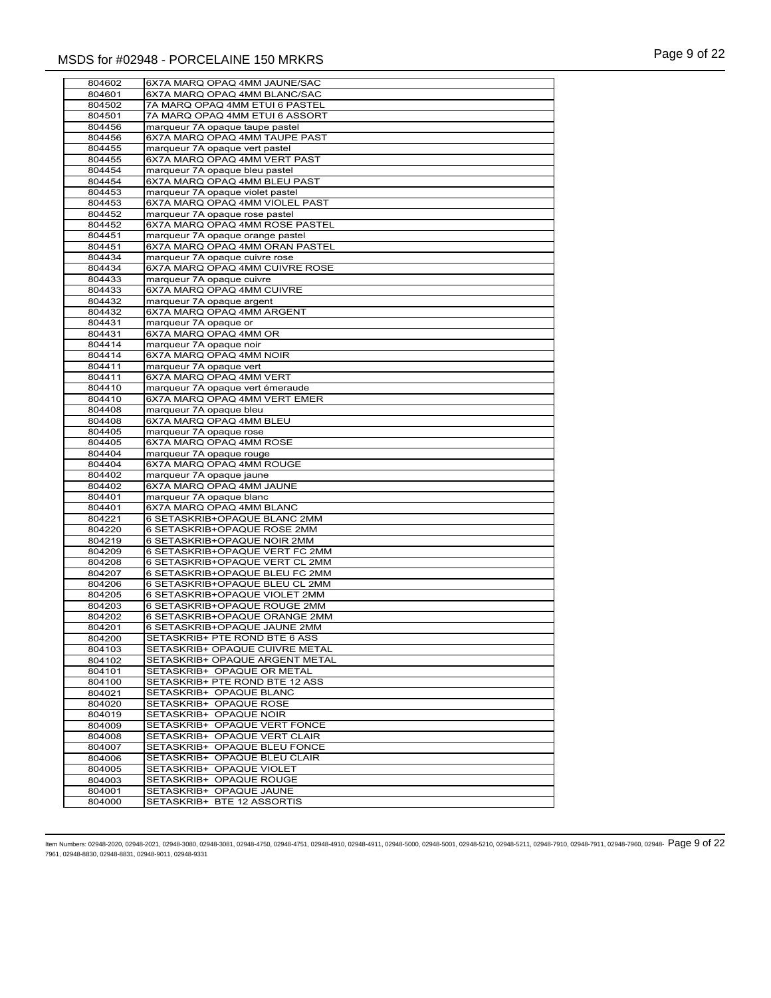| 804602           | 6X7A MARQ OPAQ 4MM JAUNE/SAC                          |
|------------------|-------------------------------------------------------|
| 804601           | 6X7A MARQ OPAQ 4MM BLANC/SAC                          |
| 804502           | 7A MARQ OPAQ 4MM ETUI 6 PASTEL                        |
|                  |                                                       |
| 804501           | 7A MARQ OPAQ 4MM ETUI 6 ASSORT                        |
| 804456           | marqueur 7A opaque taupe pastel                       |
| 804456           | 6X7A MARQ OPAQ 4MM TAUPE PAST                         |
| 804455           | marqueur 7A opaque vert pastel                        |
|                  |                                                       |
| 804455           | 6X7A MARQ OPAQ 4MM VERT PAST                          |
| 804454           | marqueur 7A opaque bleu pastel                        |
| 804454           | 6X7A MARQ OPAQ 4MM BLEU PAST                          |
| 804453           | marqueur 7A opaque violet pastel                      |
| 804453           | 6X7A MARQ OPAQ 4MM VIOLEL PAST                        |
|                  |                                                       |
| 804452           | marqueur 7A opaque rose pastel                        |
| 804452           | 6X7A MARQ OPAQ 4MM ROSE PASTEL                        |
| 804451           | marqueur 7A opaque orange pastel                      |
| 804451           | 6X7A MARQ OPAQ 4MM ORAN PASTEL                        |
| 804434           | marqueur 7A opaque cuivre rose                        |
|                  |                                                       |
| 804434           | 6X7A MARQ OPAQ 4MM CUIVRE ROSE                        |
| 804433           | marqueur 7A opaque cuivre                             |
| 804433           | 6X7A MARQ OPAQ 4MM CUIVRE                             |
| 804432           | marqueur 7A opaque argent                             |
|                  |                                                       |
| 804432           | 6X7A MARQ OPAQ 4MM ARGENT                             |
| 804431           | marqueur 7A opaque or                                 |
| 804431           | 6X7A MARQ OPAQ 4MM OR                                 |
| 804414           | marqueur 7A opaque noir                               |
| 804414           | 6X7A MARQ OPAQ 4MM NOIR                               |
|                  |                                                       |
| 804411           | marqueur 7A opaque vert                               |
| 804411           | 6X7A MARQ OPAQ 4MM VERT                               |
| 804410           | marqueur 7A opaque vert émeraude                      |
| 804410           | 6X7A MARQ OPAQ 4MM VERT EMER                          |
| 804408           | marqueur 7A opaque bleu                               |
|                  |                                                       |
| 804408           | 6X7A MARQ OPAQ 4MM BLEU                               |
| 804405           | marqueur 7A opaque rose                               |
| 804405           | 6X7A MARQ OPAQ 4MM ROSE                               |
| 804404           | marqueur 7A opaque rouge                              |
| 804404           | 6X7A MARQ OPAQ 4MM ROUGE                              |
|                  |                                                       |
| 804402           | marqueur 7A opaque jaune                              |
| 804402           | 6X7A MARQ OPAQ 4MM JAUNE                              |
| 804401           | marqueur 7A opaque blanc                              |
| 804401           | 6X7A MARQ OPAQ 4MM BLANC                              |
| 804221           | 6 SETASKRIB+OPAQUE BLANC 2MM                          |
|                  |                                                       |
| 804220           | 6 SETASKRIB+OPAQUE ROSE 2MM                           |
| 804219           | 6 SETASKRIB+OPAQUE NOIR 2MM                           |
| 804209           | 6 SETASKRIB+OPAQUE VERT FC 2MM                        |
| 804208           | 6 SETASKRIB+OPAQUE VERT CL 2MM                        |
|                  |                                                       |
| 804207           | 6 SETASKRIB+OPAQUE BLEU FC 2MM                        |
| 804206           | 6 SETASKRIB+OPAQUE BLEU CL 2MM                        |
| 804205           | 6 SETASKRIB+OPAQUE VIOLET 2MM                         |
| 804203           | 6 SETASKRIB+OPAQUE ROUGE 2MM                          |
| 804202           | 6 SETASKRIB+OPAQUE ORANGE 2MM                         |
| 804201           | 6 SETASKRIB+OPAQUE JAUNE 2MM                          |
|                  |                                                       |
| 804200           | SETASKRIB+ PTE ROND BTE 6 ASS                         |
| 804103           | SETASKRIB+ OPAQUE CUIVRE METAL                        |
| 804102           | SETASKRIB+ OPAQUE ARGENT METAL                        |
| 804101           | SETASKRIB+ OPAQUE OR METAL                            |
| 804100           | SETASKRIB+ PTE ROND BTE 12 ASS                        |
|                  |                                                       |
| 804021           | SETASKRIB+ OPAQUE BLANC                               |
| 804020           | SETASKRIB+ OPAQUE ROSE                                |
| 804019           | SETASKRIB+ OPAQUE NOIR                                |
| 804009           | SETASKRIB+ OPAQUE VERT FONCE                          |
| 804008           | SETASKRIB+ OPAQUE VERT CLAIR                          |
|                  |                                                       |
| 804007           | SETASKRIB+ OPAQUE BLEU FONCE                          |
| 804006           | SETASKRIB+ OPAQUE BLEU CLAIR                          |
|                  |                                                       |
| 804005           | SETASKRIB+ OPAQUE VIOLET                              |
|                  |                                                       |
| 804003           | SETASKRIB+ OPAQUE ROUGE                               |
| 804001<br>804000 | SETASKRIB+ OPAQUE JAUNE<br>SETASKRIB+ BTE 12 ASSORTIS |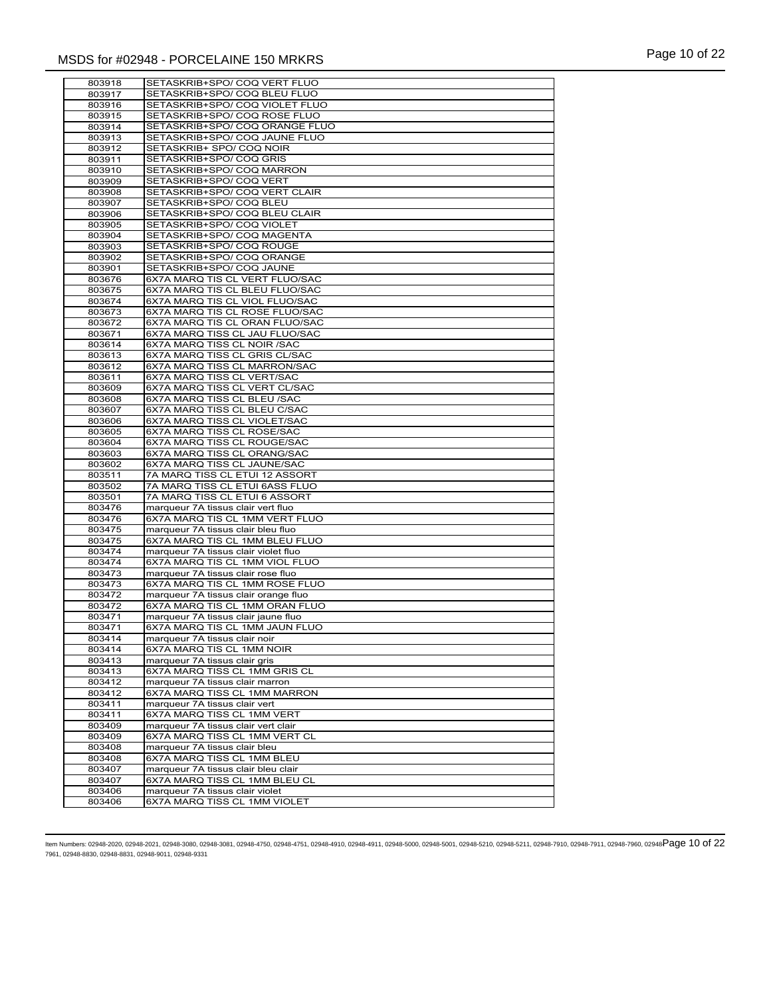| 803918 | SETASKRIB+SPO/ COQ VERT FLUO         |
|--------|--------------------------------------|
| 803917 | SETASKRIB+SPO/ COQ BLEU FLUO         |
|        | SETASKRIB+SPO/ COQ VIOLET FLUO       |
| 803916 |                                      |
| 803915 | SETASKRIB+SPO/ COQ ROSE FLUO         |
| 803914 | SETASKRIB+SPO/ COQ ORANGE FLUO       |
| 803913 | SETASKRIB+SPO/COQ JAUNE FLUO         |
| 803912 | SETASKRIB+ SPO/ COQ NOIR             |
|        |                                      |
| 803911 | SETASKRIB+SPO/ COQ GRIS              |
| 803910 | SETASKRIB+SPO/ COQ MARRON            |
| 803909 | SETASKRIB+SPO/ COQ VERT              |
| 803908 | SETASKRIB+SPO/ COQ VERT CLAIR        |
| 803907 | SETASKRIB+SPO/ COQ BLEU              |
|        |                                      |
| 803906 | SETASKRIB+SPO/ COQ BLEU CLAIR        |
| 803905 | SETASKRIB+SPO/ COQ VIOLET            |
| 803904 | SETASKRIB+SPO/ COQ MAGENTA           |
| 803903 | SETASKRIB+SPO/ COQ ROUGE             |
| 803902 | SETASKRIB+SPO/ COQ ORANGE            |
|        |                                      |
| 803901 | SETASKRIB+SPO/ COQ JAUNE             |
| 803676 | 6X7A MARQ TIS CL VERT FLUO/SAC       |
| 803675 | 6X7A MARQ TIS CL BLEU FLUO/SAC       |
| 803674 | 6X7A MARQ TIS CL VIOL FLUO/SAC       |
| 803673 | 6X7A MARQ TIS CL ROSE FLUO/SAC       |
|        |                                      |
| 803672 | 6X7A MARQ TIS CL ORAN FLUO/SAC       |
| 803671 | 6X7A MARQ TISS CL JAU FLUO/SAC       |
| 803614 | 6X7A MARQ TISS CL NOIR /SAC          |
| 803613 | 6X7A MARQ TISS CL GRIS CL/SAC        |
| 803612 | 6X7A MARQ TISS CL MARRON/SAC         |
|        | 6X7A MARQ TISS CL VERT/SAC           |
| 803611 |                                      |
| 803609 | 6X7A MARQ TISS CL VERT CL/SAC        |
| 803608 | 6X7A MARQ TISS CL BLEU /SAC          |
| 803607 | 6X7A MARQ TISS CL BLEU C/SAC         |
| 803606 | 6X7A MARQ TISS CL VIOLET/SAC         |
| 803605 | 6X7A MARQ TISS CL ROSE/SAC           |
| 803604 | 6X7A MARQ TISS CL ROUGE/SAC          |
|        |                                      |
| 803603 | 6X7A MARQ TISS CL ORANG/SAC          |
| 803602 | 6X7A MARQ TISS CL JAUNE/SAC          |
| 803511 | 7A MARQ TISS CL ETUI 12 ASSORT       |
| 803502 | 7A MARQ TISS CL ETUI 6ASS FLUO       |
| 803501 | 7A MARQ TISS CL ETUI 6 ASSORT        |
| 803476 | marqueur 7A tissus clair vert fluo   |
|        |                                      |
| 803476 | 6X7A MARQ TIS CL 1MM VERT FLUO       |
| 803475 | marqueur 7A tissus clair bleu fluo   |
| 803475 | 6X7A MARQ TIS CL 1MM BLEU FLUO       |
| 803474 | marqueur 7A tissus clair violet fluo |
| 803474 | 6X7A MARQ TIS CL 1MM VIOL FLUO       |
|        |                                      |
| 803473 | marqueur 7A tissus clair rose fluo   |
| 803473 | 6X7A MARQ TIS CL 1MM ROSE FLUO       |
| 803472 | marqueur 7A tissus clair orange fluo |
| 803472 | 6X7A MARQ TIS CL 1MM ORAN FLUO       |
| 803471 | marqueur 7A tissus clair jaune fluo  |
| 803471 | 6X7A MARQ TIS CL 1MM JAUN FLUO       |
|        |                                      |
| 803414 | marqueur / A tissus clair noir       |
| 803414 | 6X7A MARQ TIS CL 1MM NOIR            |
| 803413 | marqueur 7A tissus clair gris        |
| 803413 | 6X7A MARQ TISS CL 1MM GRIS CL        |
| 803412 | marqueur 7A tissus clair marron      |
| 803412 | 6X7A MARQ TISS CL 1MM MARRON         |
|        |                                      |
| 803411 | marqueur 7A tissus clair vert        |
| 803411 | 6X7A MARQ TISS CL 1MM VERT           |
| 803409 | marqueur 7A tissus clair vert clair  |
| 803409 | 6X7A MARQ TISS CL 1MM VERT CL        |
| 803408 | marqueur 7A tissus clair bleu        |
|        |                                      |
| 803408 | 6X7A MARQ TISS CL 1MM BLEU           |
| 803407 | marqueur 7A tissus clair bleu clair  |
| 803407 | 6X7A MARQ TISS CL 1MM BLEU CL        |
| 803406 | marqueur 7A tissus clair violet      |
| 803406 | 6X7A MARQ TISS CL 1MM VIOLET         |
|        |                                      |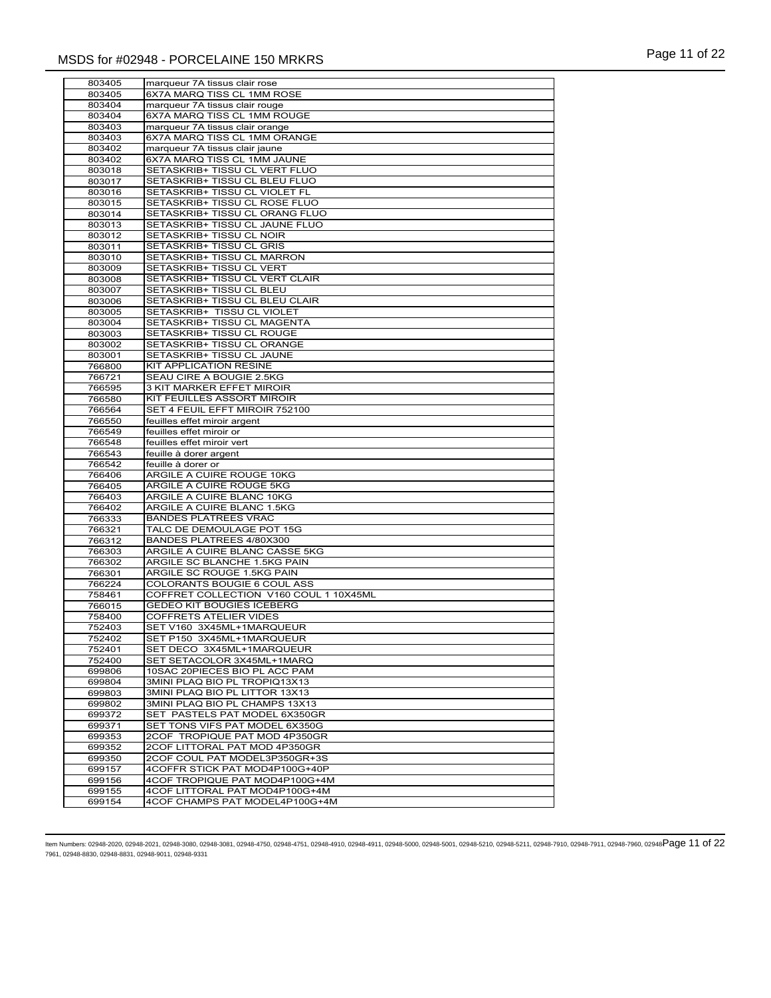| 803405           | marqueur 7A tissus clair rose                                    |
|------------------|------------------------------------------------------------------|
| 803405           | 6X7A MARQ TISS CL 1MM ROSE                                       |
| 803404           | marqueur 7A tissus clair rouge                                   |
| 803404           | 6X7A MARQ TISS CL 1MM ROUGE                                      |
| 803403           | marqueur 7A tissus clair orange                                  |
| 803403           | 6X7A MARQ TISS CL 1MM ORANGE                                     |
| 803402           | marqueur 7A tissus clair jaune                                   |
| 803402           | 6X7A MARQ TISS CL 1MM JAUNE                                      |
| 803018           | SETASKRIB+ TISSU CL VERT FLUO                                    |
| 803017           | SETASKRIB+ TISSU CL BLEU FLUO                                    |
| 803016           | SETASKRIB+ TISSU CL VIOLET FL                                    |
| 803015           | SETASKRIB+ TISSU CL ROSE FLUO                                    |
| 803014           | SETASKRIB+ TISSU CL ORANG FLUO                                   |
| 803013           | SETASKRIB+ TISSU CL JAUNE FLUO                                   |
| 803012           | SETASKRIB+ TISSU CL NOIR                                         |
| 803011           | SETASKRIB+ TISSU CL GRIS                                         |
| 803010           | SETASKRIB+ TISSU CL MARRON                                       |
| 803009           | SETASKRIB+ TISSU CL VERT                                         |
| 803008           | SETASKRIB+ TISSU CL VERT CLAIR                                   |
| 803007           | SETASKRIB+ TISSU CL BLEU                                         |
| 803006           | SETASKRIB+ TISSU CL BLEU CLAIR                                   |
| 803005           | SETASKRIB+ TISSU CL VIOLET                                       |
| 803004           | SETASKRIB+ TISSU CL MAGENTA                                      |
| 803003           | SETASKRIB+ TISSU CL ROUGE                                        |
| 803002           | SETASKRIB+ TISSU CL ORANGE                                       |
| 803001           | SETASKRIB+ TISSU CL JAUNE                                        |
| 766800           | KIT APPLICATION RESINE                                           |
| 766721           | SEAU CIRE A BOUGIE 2.5KG                                         |
| 766595           | 3 KIT MARKER EFFET MIROIR                                        |
| 766580           | KIT FEUILLES ASSORT MIROIR                                       |
| 766564           | SET 4 FEUIL EFFT MIROIR 752100                                   |
| 766550           | feuilles effet miroir argent                                     |
| 766549           | feuilles effet miroir or                                         |
| 766548           | feuilles effet miroir vert                                       |
| 766543           | feuille à dorer argent                                           |
| 766542           | feuille à dorer or                                               |
| 766406           | ARGILE A CUIRE ROUGE 10KG                                        |
| 766405           | ARGILE A CUIRE ROUGE 5KG                                         |
| 766403           | ARGILE A CUIRE BLANC 10KG                                        |
| 766402           | ARGILE A CUIRE BLANC 1.5KG                                       |
| 766333           | <b>BANDES PLATREES VRAC</b>                                      |
| 766321           | TALC DE DEMOULAGE POT 15G                                        |
| 766312           | BANDES PLATREES 4/80X300                                         |
| 766303           | ARGILE A CUIRE BLANC CASSE 5KG                                   |
| 766302           | ARGILE SC BLANCHE 1.5KG PAIN                                     |
| 766301           | ARGILE SC ROUGE 1.5KG PAIN                                       |
| 766224           | <b>COLORANTS BOUGIE 6 COUL ASS</b>                               |
| 758461           | COFFRET COLLECTION V160 COUL 1 10X45ML                           |
| 766015           | <b>GEDEO KIT BOUGIES ICEBERG</b>                                 |
| 758400           | <b>COFFRETS ATELIER VIDES</b>                                    |
| 752403           | SET V160 3X45ML+1MARQUEUR                                        |
| 752402           | SET P150 3X45ML+1MARQUEUR                                        |
| 752401           | SET DECO 3X45ML+1MARQUEUR                                        |
| 752400           | SET SETACOLOR 3X45ML+1MARQ                                       |
| 699806           | 10SAC 20PIECES BIO PL ACC PAM                                    |
| 699804           | 3MINI PLAQ BIO PL TROPIQ13X13                                    |
| 699803           | 3MINI PLAQ BIO PL LITTOR 13X13                                   |
| 699802           | 3MINI PLAQ BIO PL CHAMPS 13X13                                   |
| 699372           | SET PASTELS PAT MODEL 6X350GR                                    |
| 699371           | SET TONS VIFS PAT MODEL 6X350G                                   |
| 699353           | 2COF TROPIQUE PAT MOD 4P350GR                                    |
| 699352           | 2COF LITTORAL PAT MOD 4P350GR                                    |
| 699350           | 2COF COUL PAT MODEL3P350GR+3S                                    |
| 699157           | 4COFFR STICK PAT MOD4P100G+40P                                   |
| 699156           | 4COF TROPIQUE PAT MOD4P100G+4M                                   |
|                  |                                                                  |
| 699155<br>699154 | 4COF LITTORAL PAT MOD4P100G+4M<br>4COF CHAMPS PAT MODEL4P100G+4M |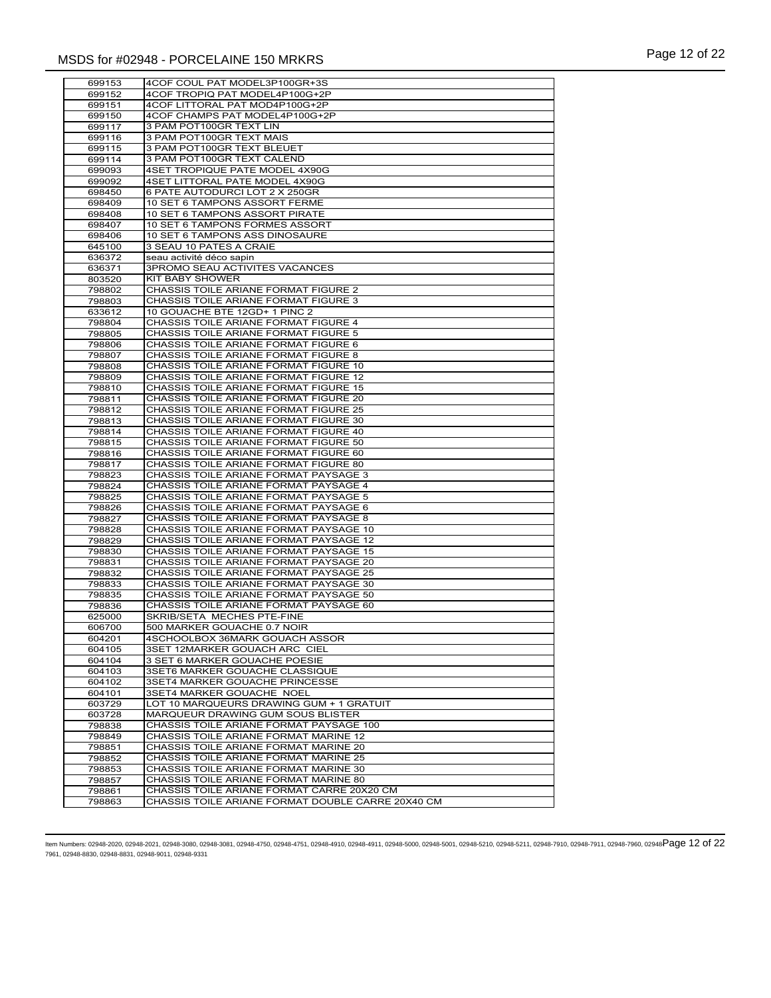| 699153 | 4COF COUL PAT MODEL3P100GR+3S                     |
|--------|---------------------------------------------------|
|        |                                                   |
| 699152 | 4COF TROPIQ PAT MODEL4P100G+2P                    |
| 699151 | 4COF LITTORAL PAT MOD4P100G+2P                    |
| 699150 | 4COF CHAMPS PAT MODEL4P100G+2P                    |
| 699117 | 3 PAM POT100GR TEXT LIN                           |
| 699116 | 3 PAM POT100GR TEXT MAIS                          |
| 699115 | 3 PAM POT100GR TEXT BLEUET                        |
| 699114 | 3 PAM POT100GR TEXT CALEND                        |
| 699093 | 4SET TROPIQUE PATE MODEL 4X90G                    |
| 699092 | 4SET LITTORAL PATE MODEL 4X90G                    |
| 698450 | 6 PATE AUTODURCI LOT 2 X 250GR                    |
|        |                                                   |
| 698409 | 10 SET 6 TAMPONS ASSORT FERME                     |
| 698408 | 10 SET 6 TAMPONS ASSORT PIRATE                    |
| 698407 | 10 SET 6 TAMPONS FORMES ASSORT                    |
| 698406 | 10 SET 6 TAMPONS ASS DINOSAURE                    |
| 645100 | 3 SEAU 10 PATES A CRAIE                           |
| 636372 | seau activité déco sapin                          |
| 636371 | <b>3PROMO SEAU ACTIVITES VACANCES</b>             |
| 803520 | KIT BABY SHOWER                                   |
| 798802 | CHASSIS TOILE ARIANE FORMAT FIGURE 2              |
| 798803 | CHASSIS TOILE ARIANE FORMAT FIGURE 3              |
|        | 10 GOUACHE BTE 12GD+ 1 PINC 2                     |
| 633612 |                                                   |
| 798804 | CHASSIS TOILE ARIANE FORMAT FIGURE 4              |
| 798805 | CHASSIS TOILE ARIANE FORMAT FIGURE 5              |
| 798806 | CHASSIS TOILE ARIANE FORMAT FIGURE 6              |
| 798807 | CHASSIS TOILE ARIANE FORMAT FIGURE 8              |
| 798808 | CHASSIS TOILE ARIANE FORMAT FIGURE 10             |
| 798809 | <b>CHASSIS TOILE ARIANE FORMAT FIGURE 12</b>      |
| 798810 | CHASSIS TOILE ARIANE FORMAT FIGURE 15             |
| 798811 | CHASSIS TOILE ARIANE FORMAT FIGURE 20             |
| 798812 | CHASSIS TOILE ARIANE FORMAT FIGURE 25             |
| 798813 | CHASSIS TOILE ARIANE FORMAT FIGURE 30             |
| 798814 | CHASSIS TOILE ARIANE FORMAT FIGURE 40             |
| 798815 | CHASSIS TOILE ARIANE FORMAT FIGURE 50             |
| 798816 | CHASSIS TOILE ARIANE FORMAT FIGURE 60             |
|        | CHASSIS TOILE ARIANE FORMAT FIGURE 80             |
| 798817 |                                                   |
| 798823 | CHASSIS TOILE ARIANE FORMAT PAYSAGE 3             |
| 798824 | CHASSIS TOILE ARIANE FORMAT PAYSAGE 4             |
| 798825 | CHASSIS TOILE ARIANE FORMAT PAYSAGE 5             |
| 798826 | CHASSIS TOILE ARIANE FORMAT PAYSAGE 6             |
| 798827 | CHASSIS TOILE ARIANE FORMAT PAYSAGE 8             |
| 798828 | CHASSIS TOILE ARIANE FORMAT PAYSAGE 10            |
| 798829 | CHASSIS TOILE ARIANE FORMAT PAYSAGE 12            |
| 798830 | CHASSIS TOILE ARIANE FORMAT PAYSAGE 15            |
| 798831 | CHASSIS TOILE ARIANE FORMAT PAYSAGE 20            |
| 798832 | CHASSIS TOILE ARIANE FORMAT PAYSAGE 25            |
| 798833 | CHASSIS TOILE ARIANE FORMAT PAYSAGE 30            |
| 798835 | CHASSIS TOILE ARIANE FORMAT PAYSAGE 50            |
|        | CHASSIS TOILE ARIANE FORMAT PAYSAGE 60            |
| 798836 |                                                   |
| 625000 | SKRIB/SETA MECHES PTE-FINE                        |
| 606700 | 500 MARKER GOUACHE 0.7 NOIR                       |
| 604201 | 4SCHOOLBOX 36MARK GOUACH ASSOR                    |
| 604105 | 3SET 12MARKER GOUACH ARC CIEL                     |
| 604104 | 3 SET 6 MARKER GOUACHE POESIE                     |
| 604103 | 3SET6 MARKER GOUACHE CLASSIQUE                    |
| 604102 | 3SET4 MARKER GOUACHE PRINCESSE                    |
| 604101 | 3SET4 MARKER GOUACHE NOEL                         |
| 603729 | LOT 10 MARQUEURS DRAWING GUM + 1 GRATUIT          |
| 603728 | MARQUEUR DRAWING GUM SOUS BLISTER                 |
| 798838 | CHASSIS TOILE ARIANE FORMAT PAYSAGE 100           |
| 798849 | CHASSIS TOILE ARIANE FORMAT MARINE 12             |
| 798851 | CHASSIS TOILE ARIANE FORMAT MARINE 20             |
|        |                                                   |
| 798852 | CHASSIS TOILE ARIANE FORMAT MARINE 25             |
| 798853 | CHASSIS TOILE ARIANE FORMAT MARINE 30             |
| 798857 | CHASSIS TOILE ARIANE FORMAT MARINE 80             |
| 798861 | CHASSIS TOILE ARIANE FORMAT CARRE 20X20 CM        |
| 798863 | CHASSIS TOILE ARIANE FORMAT DOUBLE CARRE 20X40 CM |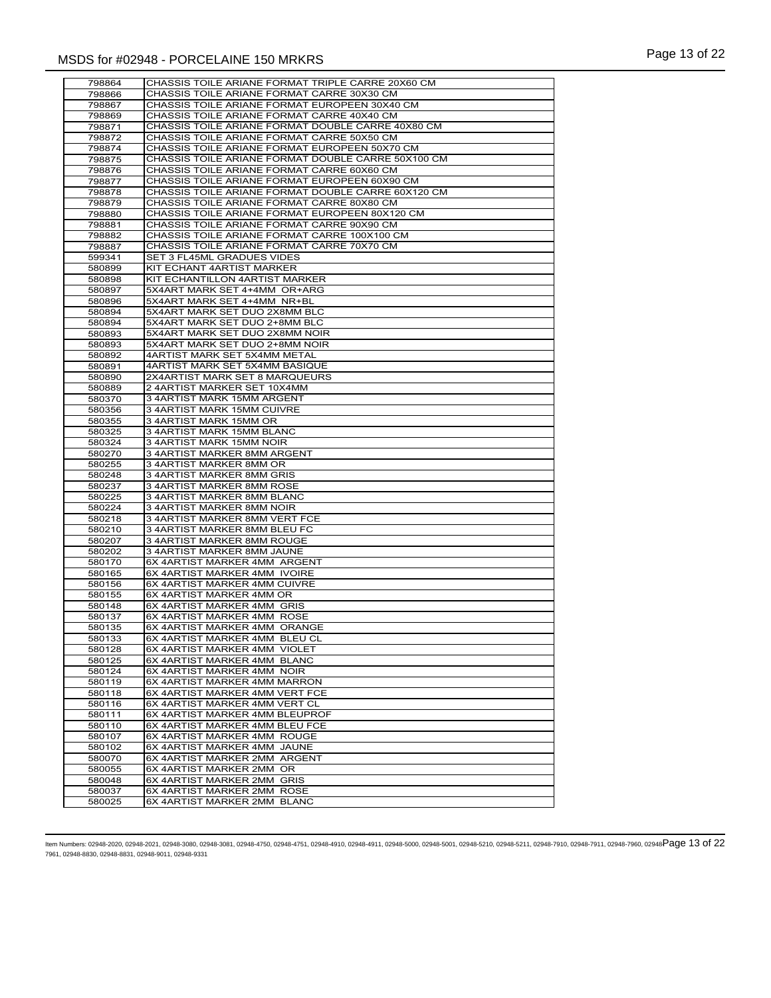| 798864           | CHASSIS TOILE ARIANE FORMAT TRIPLE CARRE 20X60 CM             |
|------------------|---------------------------------------------------------------|
| 798866           | CHASSIS TOILE ARIANE FORMAT CARRE 30X30 CM                    |
| 798867           | CHASSIS TOILE ARIANE FORMAT EUROPEEN 30X40 CM                 |
| 798869           | CHASSIS TOILE ARIANE FORMAT CARRE 40X40 CM                    |
| 798871           | CHASSIS TOILE ARIANE FORMAT DOUBLE CARRE 40X80 CM             |
| 798872           | CHASSIS TOILE ARIANE FORMAT CARRE 50X50 CM                    |
| 798874           | CHASSIS TOILE ARIANE FORMAT EUROPEEN 50X70 CM                 |
| 798875           | CHASSIS TOILE ARIANE FORMAT DOUBLE CARRE 50X100 CM            |
| 798876           | CHASSIS TOILE ARIANE FORMAT CARRE 60X60 CM                    |
| 798877           | CHASSIS TOILE ARIANE FORMAT EUROPEEN 60X90 CM                 |
| 798878           | CHASSIS TOILE ARIANE FORMAT DOUBLE CARRE 60X120 CM            |
| 798879           | CHASSIS TOILE ARIANE FORMAT CARRE 80X80 CM                    |
| 798880           | CHASSIS TOILE ARIANE FORMAT EUROPEEN 80X120 CM                |
| 798881           | CHASSIS TOILE ARIANE FORMAT CARRE 90X90 CM                    |
| 798882           | CHASSIS TOILE ARIANE FORMAT CARRE 100X100 CM                  |
| 798887           | CHASSIS TOILE ARIANE FORMAT CARRE 70X70 CM                    |
| 599341           | SET 3 FL45ML GRADUES VIDES                                    |
| 580899           | KIT ECHANT 4ARTIST MARKER                                     |
| 580898           | KIT ECHANTILLON 4ARTIST MARKER                                |
| 580897           | 5X4ART MARK SET 4+4MM OR+ARG                                  |
| 580896           | 5X4ART MARK SET 4+4MM NR+BL                                   |
| 580894           | 5X4ART MARK SET DUO 2X8MM BLC                                 |
| 580894           | 5X4ART MARK SET DUO 2+8MM BLC                                 |
| 580893           | 5X4ART MARK SET DUO 2X8MM NOIR                                |
| 580893           | 5X4ART MARK SET DUO 2+8MM NOIR                                |
| 580892           | 4ARTIST MARK SET 5X4MM METAL                                  |
| 580891           | 4ARTIST MARK SET 5X4MM BASIQUE                                |
| 580890           | 2X4ARTIST MARK SET 8 MARQUEURS<br>2 4ARTIST MARKER SET 10X4MM |
| 580889           | 3 4ARTIST MARK 15MM ARGENT                                    |
| 580370           | 3 4ARTIST MARK 15MM CUIVRE                                    |
| 580356<br>580355 | 3 4ARTIST MARK 15MM OR                                        |
| 580325           | 3 4ARTIST MARK 15MM BLANC                                     |
| 580324           | 3 4ARTIST MARK 15MM NOIR                                      |
| 580270           | 3 4ARTIST MARKER 8MM ARGENT                                   |
| 580255           | 3 4ARTIST MARKER 8MM OR                                       |
| 580248           | 3 4ARTIST MARKER 8MM GRIS                                     |
| 580237           | 3 4ARTIST MARKER 8MM ROSE                                     |
| 580225           | 3 4ARTIST MARKER 8MM BLANC                                    |
| 580224           | 3 4ARTIST MARKER 8MM NOIR                                     |
| 580218           | 3 4ARTIST MARKER 8MM VERT FCE                                 |
| 580210           | 3 4ARTIST MARKER 8MM BLEU FC                                  |
| 580207           | 3 4ARTIST MARKER 8MM ROUGE                                    |
| 580202           | 3 4ARTIST MARKER 8MM JAUNE                                    |
| 580170           | 6X 4ARTIST MARKER 4MM ARGENT                                  |
| 580165           | 6X 4ARTIST MARKER 4MM IVOIRE                                  |
| 580156           | 6X 4ARTIST MARKER 4MM CUIVRE                                  |
| 580155           | 6X 4ARTIST MARKER 4MM OR                                      |
| 580148           | 6X 4ARTIST MARKER 4MM GRIS                                    |
| 580137           | 6X 4ARTIST MARKER 4MM ROSE                                    |
| 580135           | 6X 4ARTIST MARKER 4MM ORANGE                                  |
| 580133           | 6X 4ARTIST MARKER 4MM BLEU CL                                 |
| 580128           | 6X 4ARTIST MARKER 4MM VIOLET                                  |
| 580125           | 6X 4ARTIST MARKER 4MM BLANC                                   |
| 580124           | 6X 4ARTIST MARKER 4MM NOIR                                    |
| 580119           | 6X 4ARTIST MARKER 4MM MARRON                                  |
| 580118           | 6X 4ARTIST MARKER 4MM VERT FCE                                |
| 580116           | 6X 4ARTIST MARKER 4MM VERT CL                                 |
| 580111           | 6X 4ARTIST MARKER 4MM BLEUPROF                                |
| 580110           | 6X 4ARTIST MARKER 4MM BLEU FCE                                |
| 580107           | 6X 4ARTIST MARKER 4MM ROUGE<br>6X 4ARTIST MARKER 4MM JAUNE    |
| 580102           | 6X 4ARTIST MARKER 2MM ARGENT                                  |
| 580070<br>580055 | 6X 4ARTIST MARKER 2MM OR                                      |
| 580048           | 6X 4ARTIST MARKER 2MM GRIS                                    |
| 580037           | 6X 4ARTIST MARKER 2MM ROSE                                    |
| 580025           | 6X 4ARTIST MARKER 2MM BLANC                                   |
|                  |                                                               |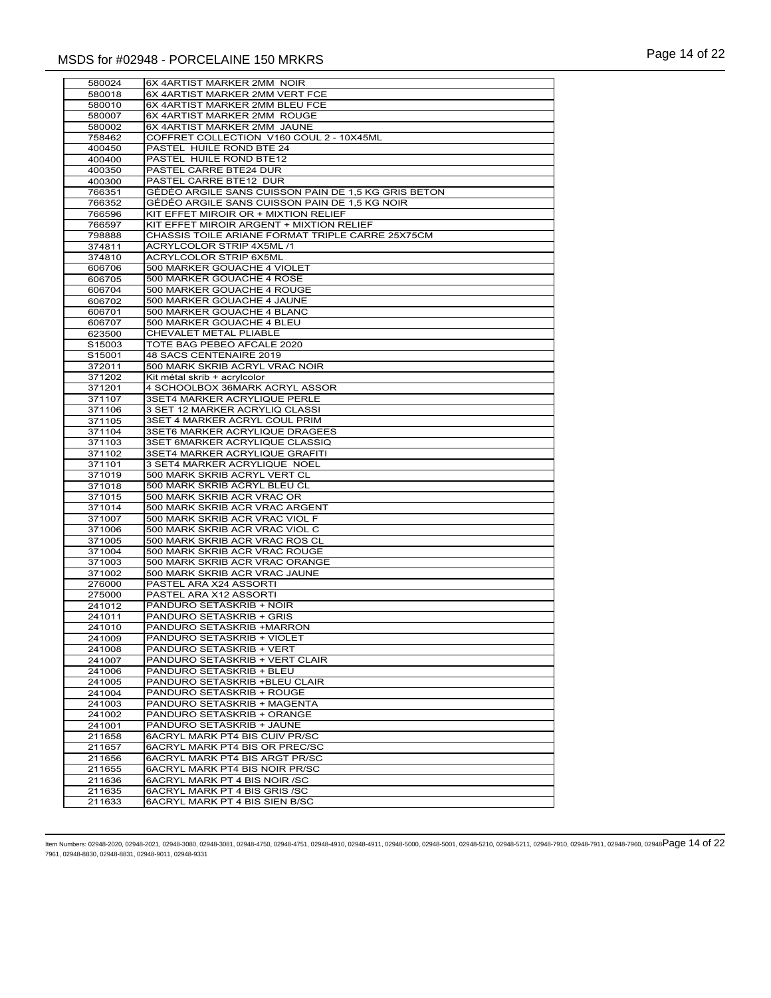| 580024 | 6X 4ARTIST MARKER 2MM NOIR                          |
|--------|-----------------------------------------------------|
| 580018 | 6X 4ARTIST MARKER 2MM VERT FCE                      |
| 580010 | 6X 4ARTIST MARKER 2MM BLEU FCE                      |
| 580007 | 6X 4ARTIST MARKER 2MM ROUGE                         |
|        | 6X 4ARTIST MARKER 2MM JAUNE                         |
| 580002 |                                                     |
| 758462 | COFFRET COLLECTION V160 COUL 2 - 10X45ML            |
| 400450 | PASTEL HUILE ROND BTE 24                            |
| 400400 | PASTEL HUILE ROND BTE12                             |
| 400350 | PASTEL CARRE BTE24 DUR                              |
| 400300 | PASTEL CARRE BTE12 DUR                              |
| 766351 | GÉDÉO ARGILE SANS CUISSON PAIN DE 1,5 KG GRIS BETON |
| 766352 | GÉDÉO ARGILE SANS CUISSON PAIN DE 1,5 KG NOIR       |
|        |                                                     |
| 766596 | KIT EFFET MIROIR OR + MIXTION RELIEF                |
| 766597 | KIT EFFET MIROIR ARGENT + MIXTION RELIEF            |
| 798888 | CHASSIS TOILE ARIANE FORMAT TRIPLE CARRE 25X75CM    |
| 374811 | ACRYLCOLOR STRIP 4X5ML /1                           |
| 374810 | ACRYLCOLOR STRIP 6X5ML                              |
| 606706 | 500 MARKER GOUACHE 4 VIOLET                         |
| 606705 | 500 MARKER GOUACHE 4 ROSE                           |
| 606704 | 500 MARKER GOUACHE 4 ROUGE                          |
|        | 500 MARKER GOUACHE 4 JAUNE                          |
| 606702 |                                                     |
| 606701 | 500 MARKER GOUACHE 4 BLANC                          |
| 606707 | 500 MARKER GOUACHE 4 BLEU                           |
| 623500 | CHEVALET METAL PLIABLE                              |
| S15003 | TOTE BAG PEBEO AFCALE 2020                          |
| S15001 | 48 SACS CENTENAIRE 2019                             |
| 372011 | 500 MARK SKRIB ACRYL VRAC NOIR                      |
| 371202 | Kit métal skrib + acrylcolor                        |
|        |                                                     |
| 371201 | 4 SCHOOLBOX 36MARK ACRYL ASSOR                      |
| 371107 | 3SET4 MARKER ACRYLIQUE PERLE                        |
| 371106 | 3 SET 12 MARKER ACRYLIQ CLASSI                      |
| 371105 | 3SET 4 MARKER ACRYL COUL PRIM                       |
| 371104 | 3SET6 MARKER ACRYLIQUE DRAGEES                      |
| 371103 | 3SET 6MARKER ACRYLIQUE CLASSIQ                      |
| 371102 | 3SET4 MARKER ACRYLIQUE GRAFITI                      |
| 371101 | 3 SET4 MARKER ACRYLIQUE NOEL                        |
| 371019 | 500 MARK SKRIB ACRYL VERT CL                        |
|        |                                                     |
| 371018 | 500 MARK SKRIB ACRYL BLEU CL                        |
| 371015 | 500 MARK SKRIB ACR VRAC OR                          |
| 371014 | 500 MARK SKRIB ACR VRAC ARGENT                      |
| 371007 | 500 MARK SKRIB ACR VRAC VIOL F                      |
| 371006 | 500 MARK SKRIB ACR VRAC VIOL C                      |
| 371005 | 500 MARK SKRIB ACR VRAC ROS CL                      |
| 371004 | 500 MARK SKRIB ACR VRAC ROUGE                       |
| 371003 | 500 MARK SKRIB ACR VRAC ORANGE                      |
|        |                                                     |
| 371002 | 500 MARK SKRIB ACR VRAC JAUNE                       |
| 276000 | PASTEL ARA X24 ASSORTI                              |
| 275000 | PASTEL ARA X12 ASSORTI                              |
| 241012 | PANDURO SETASKRIB + NOIR                            |
| 241011 | PANDURO SETASKRIB + GRIS                            |
| 241010 | PANDURO SETASKRIB +MARRON                           |
| 241009 | PANDURO SETASKRIB + VIOLET                          |
| 241008 | PANDURO SETASKRIB + VERT                            |
| 241007 | PANDURO SETASKRIB + VERT CLAIR                      |
|        |                                                     |
| 241006 | PANDURO SETASKRIB + BLEU                            |
| 241005 | PANDURO SETASKRIB +BLEU CLAIR                       |
| 241004 | PANDURO SETASKRIB + ROUGE                           |
| 241003 | PANDURO SETASKRIB + MAGENTA                         |
| 241002 | PANDURO SETASKRIB + ORANGE                          |
| 241001 | PANDURO SETASKRIB + JAUNE                           |
| 211658 | 6ACRYL MARK PT4 BIS CUIV PR/SC                      |
| 211657 | 6ACRYL MARK PT4 BIS OR PREC/SC                      |
|        |                                                     |
| 211656 | 6ACRYL MARK PT4 BIS ARGT PR/SC                      |
| 211655 | 6ACRYL MARK PT4 BIS NOIR PR/SC                      |
| 211636 | 6ACRYL MARK PT 4 BIS NOIR /SC                       |
| 211635 | 6ACRYL MARK PT 4 BIS GRIS /SC                       |
| 211633 | 6ACRYL MARK PT 4 BIS SIEN B/SC                      |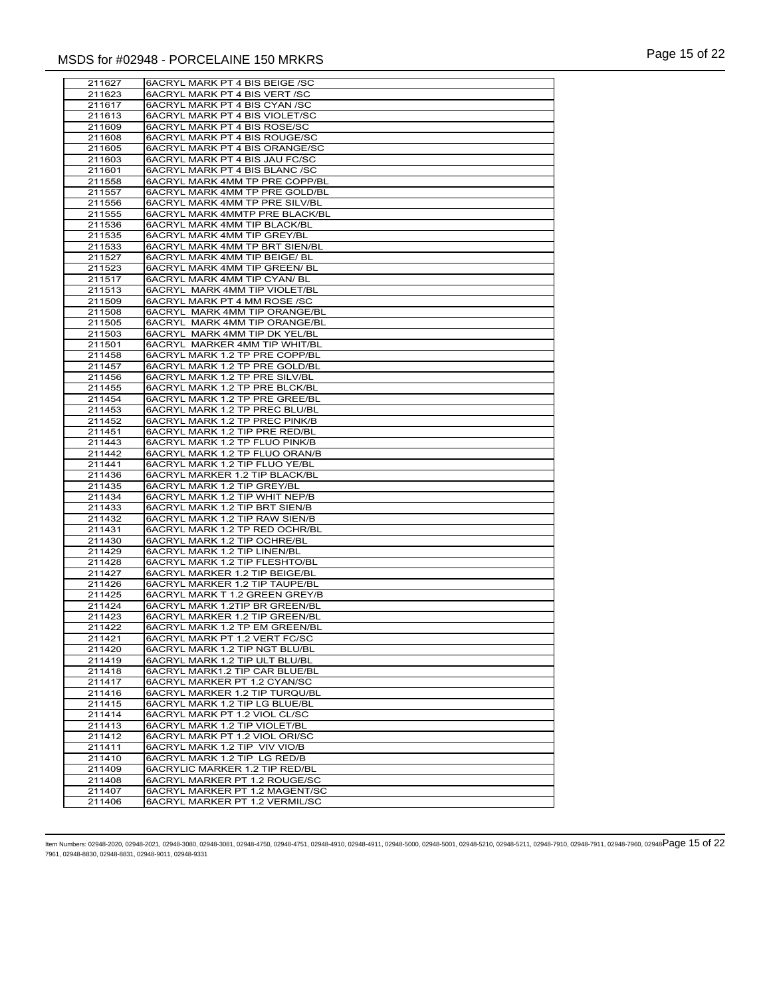| 211627           | 6ACRYL MARK PT 4 BIS BEIGE /SC                                   |
|------------------|------------------------------------------------------------------|
| 211623           | 6ACRYL MARK PT 4 BIS VERT /SC                                    |
|                  |                                                                  |
| 211617           | 6ACRYL MARK PT 4 BIS CYAN /SC                                    |
| 211613           | 6ACRYL MARK PT 4 BIS VIOLET/SC                                   |
| 211609           | 6ACRYL MARK PT 4 BIS ROSE/SC                                     |
| 211608           | 6ACRYL MARK PT 4 BIS ROUGE/SC                                    |
| 211605           | 6ACRYL MARK PT 4 BIS ORANGE/SC                                   |
|                  |                                                                  |
| 211603           | 6ACRYL MARK PT 4 BIS JAU FC/SC                                   |
| 211601           | 6ACRYL MARK PT 4 BIS BLANC /SC                                   |
| 211558           | 6ACRYL MARK 4MM TP PRE COPP/BL                                   |
| 211557           | 6ACRYL MARK 4MM TP PRE GOLD/BL                                   |
| 211556           | 6ACRYL MARK 4MM TP PRE SILV/BL                                   |
|                  | 6ACRYL MARK 4MMTP PRE BLACK/BL                                   |
| 211555           |                                                                  |
| 211536           | 6ACRYL MARK 4MM TIP BLACK/BL                                     |
| 211535           | <b>6ACRYL MARK 4MM TIP GREY/BL</b>                               |
| 211533           | 6ACRYL MARK 4MM TP BRT SIEN/BL                                   |
| 211527           | 6ACRYL MARK 4MM TIP BEIGE/ BL                                    |
|                  |                                                                  |
| 211523           | 6ACRYL MARK 4MM TIP GREEN/ BL                                    |
| 211517           | 6ACRYL MARK 4MM TIP CYAN/ BL                                     |
| 211513           | 6ACRYL MARK 4MM TIP VIOLET/BL                                    |
| 211509           | 6ACRYL MARK PT 4 MM ROSE /SC                                     |
| 211508           | 6ACRYL MARK 4MM TIP ORANGE/BL                                    |
|                  |                                                                  |
| 211505           | 6ACRYL MARK 4MM TIP ORANGE/BL                                    |
| 211503           | 6ACRYL MARK 4MM TIP DK YEL/BL                                    |
| 211501           | 6ACRYL MARKER 4MM TIP WHIT/BL                                    |
| 211458           | 6ACRYL MARK 1.2 TP PRE COPP/BL                                   |
| 211457           | 6ACRYL MARK 1.2 TP PRE GOLD/BL                                   |
|                  | 6ACRYL MARK 1.2 TP PRE SILV/BL                                   |
| 211456           |                                                                  |
| 211455           | 6ACRYL MARK 1.2 TP PRE BLCK/BL                                   |
| 211454           | 6ACRYL MARK 1.2 TP PRE GREE/BL                                   |
| 211453           | 6ACRYL MARK 1.2 TP PREC BLU/BL                                   |
| 211452           | <b>6ACRYL MARK 1.2 TP PREC PINK/B</b>                            |
|                  |                                                                  |
| 211451           | 6ACRYL MARK 1.2 TIP PRE RED/BL                                   |
| 211443           | 6ACRYL MARK 1.2 TP FLUO PINK/B                                   |
| 211442           | 6ACRYL MARK 1.2 TP FLUO ORAN/B                                   |
| 211441           | <b>6ACRYL MARK 1.2 TIP FLUO YE/BL</b>                            |
| 211436           | 6ACRYL MARKER 1.2 TIP BLACK/BL                                   |
| 211435           | 6ACRYL MARK 1.2 TIP GREY/BL                                      |
|                  |                                                                  |
| 211434           | 6ACRYL MARK 1.2 TIP WHIT NEP/B                                   |
| 211433           | 6ACRYL MARK 1.2 TIP BRT SIEN/B                                   |
| 211432           | 6ACRYL MARK 1.2 TIP RAW SIEN/B                                   |
| 211431           | 6ACRYL MARK 1.2 TP RED OCHR/BL                                   |
| 211430           | 6ACRYL MARK 1.2 TIP OCHRE/BL                                     |
|                  |                                                                  |
| 211429           | 6ACRYL MARK 1.2 TIP LINEN/BL                                     |
| 211428           | 6ACRYL MARK 1.2 TIP FLESHTO/BL                                   |
| 211427           | 6ACRYL MARKER 1.2 TIP BEIGE/BL                                   |
| 211426           | 6ACRYL MARKER 1.2 TIP TAUPE/BL                                   |
| 211425           | 6ACRYL MARK T 1.2 GREEN GREY/B                                   |
| 211424           | 6ACRYL MARK 1.2TIP BR GREEN/BL                                   |
|                  |                                                                  |
| 211423           | 6ACRYL MARKER 1.2 TIP GREEN/BL                                   |
| 211422           | 6ACRYL MARK 1.2 TP EM GREEN/BL                                   |
| 211421           | 6ACRYL MARK PT 1.2 VERT FC/SC                                    |
| 211420           | 6ACRYL MARK 1.2 TIP NGT BLU/BL                                   |
| 211419           | 6ACRYL MARK 1.2 TIP ULT BLU/BL                                   |
|                  |                                                                  |
| 211418           | 6ACRYL MARK1.2 TIP CAR BLUE/BL                                   |
| 211417           | 6ACRYL MARKER PT 1.2 CYAN/SC                                     |
| 211416           | 6ACRYL MARKER 1.2 TIP TURQU/BL                                   |
| 211415           | 6ACRYL MARK 1.2 TIP LG BLUE/BL                                   |
| 211414           | 6ACRYL MARK PT 1.2 VIOL CL/SC                                    |
| 211413           | 6ACRYL MARK 1.2 TIP VIOLET/BL                                    |
|                  |                                                                  |
| 211412           | 6ACRYL MARK PT 1.2 VIOL ORI/SC                                   |
| 211411           | 6ACRYL MARK 1.2 TIP VIV VIO/B                                    |
| 211410           | 6ACRYL MARK 1.2 TIP LG RED/B                                     |
| 211409           | 6ACRYLIC MARKER 1.2 TIP RED/BL                                   |
| 211408           | 6ACRYL MARKER PT 1.2 ROUGE/SC                                    |
|                  |                                                                  |
|                  |                                                                  |
| 211407<br>211406 | 6ACRYL MARKER PT 1.2 MAGENT/SC<br>6ACRYL MARKER PT 1.2 VERMIL/SC |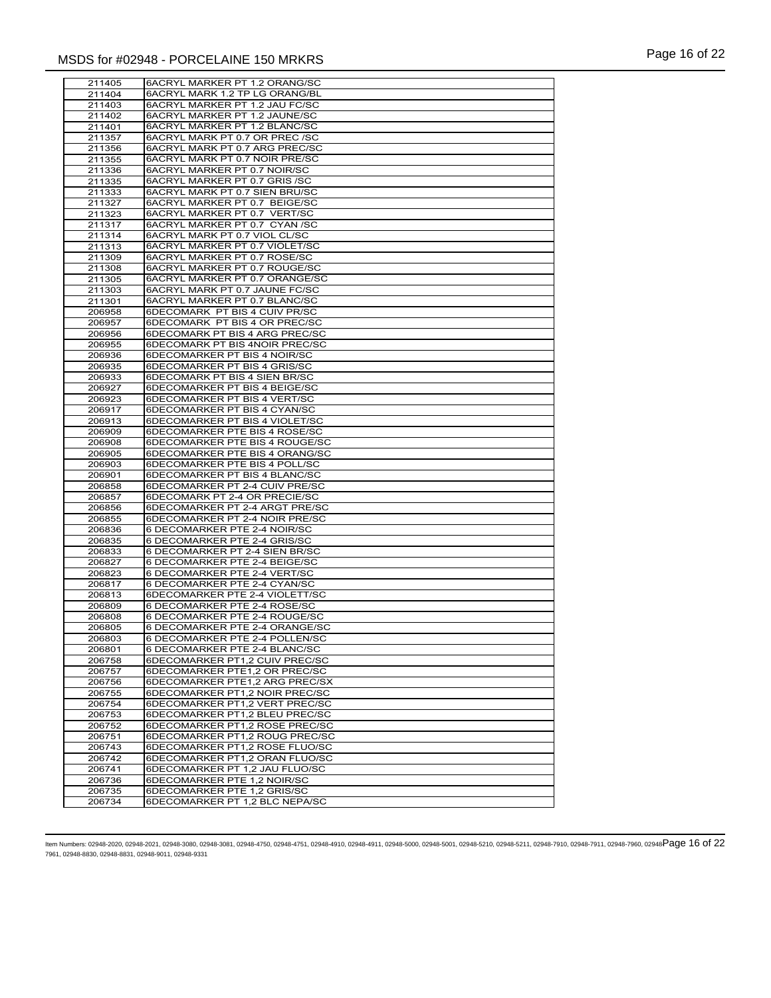| 211405 | 6ACRYL MARKER PT 1.2 ORANG/SC  |
|--------|--------------------------------|
| 211404 | 6ACRYL MARK 1.2 TP LG ORANG/BL |
|        | 6ACRYL MARKER PT 1.2 JAU FC/SC |
| 211403 |                                |
| 211402 | 6ACRYL MARKER PT 1.2 JAUNE/SC  |
| 211401 | 6ACRYL MARKER PT 1.2 BLANC/SC  |
| 211357 | 6ACRYL MARK PT 0.7 OR PREC /SC |
| 211356 | 6ACRYL MARK PT 0.7 ARG PREC/SC |
| 211355 | 6ACRYL MARK PT 0.7 NOIR PRE/SC |
| 211336 | 6ACRYL MARKER PT 0.7 NOIR/SC   |
| 211335 | 6ACRYL MARKER PT 0.7 GRIS /SC  |
| 211333 | 6ACRYL MARK PT 0.7 SIEN BRU/SC |
| 211327 | 6ACRYL MARKER PT 0.7 BEIGE/SC  |
| 211323 | 6ACRYL MARKER PT 0.7 VERT/SC   |
| 211317 | 6ACRYL MARKER PT 0.7 CYAN /SC  |
| 211314 | 6ACRYL MARK PT 0.7 VIOL CL/SC  |
| 211313 | 6ACRYL MARKER PT 0.7 VIOLET/SC |
| 211309 |                                |
|        | 6ACRYL MARKER PT 0.7 ROSE/SC   |
| 211308 | 6ACRYL MARKER PT 0.7 ROUGE/SC  |
| 211305 | 6ACRYL MARKER PT 0.7 ORANGE/SC |
| 211303 | 6ACRYL MARK PT 0.7 JAUNE FC/SC |
| 211301 | 6ACRYL MARKER PT 0.7 BLANC/SC  |
| 206958 | 6DECOMARK PT BIS 4 CUIV PR/SC  |
| 206957 | 6DECOMARK PT BIS 4 OR PREC/SC  |
| 206956 | 6DECOMARK PT BIS 4 ARG PREC/SC |
| 206955 | 6DECOMARK PT BIS 4NOIR PREC/SC |
| 206936 | 6DECOMARKER PT BIS 4 NOIR/SC   |
| 206935 | 6DECOMARKER PT BIS 4 GRIS/SC   |
| 206933 | 6DECOMARK PT BIS 4 SIEN BR/SC  |
| 206927 | 6DECOMARKER PT BIS 4 BEIGE/SC  |
| 206923 | 6DECOMARKER PT BIS 4 VERT/SC   |
| 206917 | 6DECOMARKER PT BIS 4 CYAN/SC   |
| 206913 | 6DECOMARKER PT BIS 4 VIOLET/SC |
| 206909 | 6DECOMARKER PTE BIS 4 ROSE/SC  |
| 206908 | 6DECOMARKER PTE BIS 4 ROUGE/SC |
| 206905 | 6DECOMARKER PTE BIS 4 ORANG/SC |
| 206903 | 6DECOMARKER PTE BIS 4 POLL/SC  |
|        |                                |
| 206901 | 6DECOMARKER PT BIS 4 BLANC/SC  |
| 206858 | 6DECOMARKER PT 2-4 CUIV PRE/SC |
| 206857 | 6DECOMARK PT 2-4 OR PRECIE/SC  |
| 206856 | 6DECOMARKER PT 2-4 ARGT PRE/SC |
| 206855 | 6DECOMARKER PT 2-4 NOIR PRE/SC |
| 206836 | 6 DECOMARKER PTE 2-4 NOIR/SC   |
| 206835 | 6 DECOMARKER PTE 2-4 GRIS/SC   |
| 206833 | 6 DECOMARKER PT 2-4 SIEN BR/SC |
| 206827 | 6 DECOMARKER PTE 2-4 BEIGE/SC  |
| 206823 | 6 DECOMARKER PTE 2-4 VERT/SC   |
| 206817 | 6 DECOMARKER PTE 2-4 CYAN/SC   |
| 206813 | 6DECOMARKER PTE 2-4 VIOLETT/SC |
| 206809 | 6 DECOMARKER PTE 2-4 ROSE/SC   |
| 206808 | 6 DECOMARKER PTE 2-4 ROUGE/SC  |
| 206805 | 6 DECOMARKER PTE 2-4 ORANGE/SC |
| 206803 | 6 DECOMARKER PTE 2-4 POLLEN/SC |
| 206801 | 6 DECOMARKER PTE 2-4 BLANC/SC  |
| 206758 | 6DECOMARKER PT1,2 CUIV PREC/SC |
| 206757 | 6DECOMARKER PTE1,2 OR PREC/SC  |
| 206756 | 6DECOMARKER PTE1,2 ARG PREC/SX |
|        | 6DECOMARKER PT1,2 NOIR PREC/SC |
| 206755 |                                |
| 206754 | 6DECOMARKER PT1,2 VERT PREC/SC |
| 206753 | 6DECOMARKER PT1,2 BLEU PREC/SC |
| 206752 | 6DECOMARKER PT1,2 ROSE PREC/SC |
| 206751 | 6DECOMARKER PT1,2 ROUG PREC/SC |
| 206743 | 6DECOMARKER PT1,2 ROSE FLUO/SC |
| 206742 | 6DECOMARKER PT1,2 ORAN FLUO/SC |
| 206741 | 6DECOMARKER PT 1,2 JAU FLUO/SC |
| 206736 | 6DECOMARKER PTE 1,2 NOIR/SC    |
| 206735 | 6DECOMARKER PTE 1,2 GRIS/SC    |
| 206734 | 6DECOMARKER PT 1,2 BLC NEPA/SC |
|        |                                |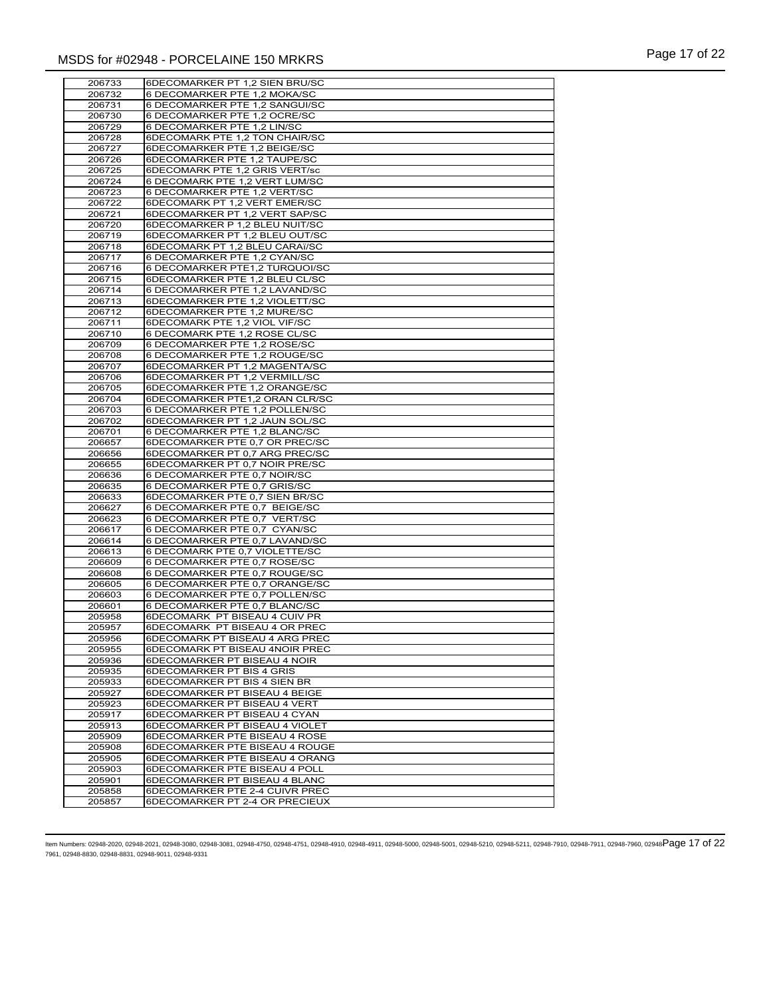| 206733 | 6DECOMARKER PT 1,2 SIEN BRU/SC |
|--------|--------------------------------|
| 206732 | 6 DECOMARKER PTE 1,2 MOKA/SC   |
|        |                                |
| 206731 | 6 DECOMARKER PTE 1,2 SANGUI/SC |
| 206730 | 6 DECOMARKER PTE 1,2 OCRE/SC   |
| 206729 | 6 DECOMARKER PTE 1,2 LIN/SC    |
| 206728 | 6DECOMARK PTE 1,2 TON CHAIR/SC |
| 206727 | 6DECOMARKER PTE 1,2 BEIGE/SC   |
| 206726 | 6DECOMARKER PTE 1,2 TAUPE/SC   |
| 206725 | 6DECOMARK PTE 1,2 GRIS VERT/sc |
| 206724 | 6 DECOMARK PTE 1,2 VERT LUM/SC |
| 206723 | 6 DECOMARKER PTE 1,2 VERT/SC   |
| 206722 | 6DECOMARK PT 1,2 VERT EMER/SC  |
| 206721 | 6DECOMARKER PT 1,2 VERT SAP/SC |
| 206720 | 6DECOMARKER P 1,2 BLEU NUIT/SC |
| 206719 | 6DECOMARKER PT 1,2 BLEU OUT/SC |
| 206718 | 6DECOMARK PT 1,2 BLEU CARAï/SC |
| 206717 | 6 DECOMARKER PTE 1,2 CYAN/SC   |
| 206716 | 6 DECOMARKER PTE1,2 TURQUOI/SC |
| 206715 | 6DECOMARKER PTE 1,2 BLEU CL/SC |
| 206714 | 6 DECOMARKER PTE 1,2 LAVAND/SC |
|        | 6DECOMARKER PTE 1,2 VIOLETT/SC |
| 206713 |                                |
| 206712 | 6DECOMARKER PTE 1,2 MURE/SC    |
| 206711 | 6DECOMARK PTE 1,2 VIOL VIF/SC  |
| 206710 | 6 DECOMARK PTE 1,2 ROSE CL/SC  |
| 206709 | 6 DECOMARKER PTE 1,2 ROSE/SC   |
| 206708 | 6 DECOMARKER PTE 1,2 ROUGE/SC  |
| 206707 | 6DECOMARKER PT 1,2 MAGENTA/SC  |
| 206706 | 6DECOMARKER PT 1,2 VERMILL/SC  |
| 206705 | 6DECOMARKER PTE 1,2 ORANGE/SC  |
| 206704 | 6DECOMARKER PTE1,2 ORAN CLR/SC |
| 206703 | 6 DECOMARKER PTE 1,2 POLLEN/SC |
| 206702 | 6DECOMARKER PT 1,2 JAUN SOL/SC |
| 206701 | 6 DECOMARKER PTE 1,2 BLANC/SC  |
| 206657 | 6DECOMARKER PTE 0,7 OR PREC/SC |
| 206656 | 6DECOMARKER PT 0,7 ARG PREC/SC |
| 206655 | 6DECOMARKER PT 0,7 NOIR PRE/SC |
| 206636 | 6 DECOMARKER PTE 0,7 NOIR/SC   |
| 206635 | 6 DECOMARKER PTE 0,7 GRIS/SC   |
| 206633 | 6DECOMARKER PTE 0,7 SIEN BR/SC |
| 206627 | 6 DECOMARKER PTE 0,7 BEIGE/SC  |
| 206623 | 6 DECOMARKER PTE 0,7 VERT/SC   |
| 206617 | 6 DECOMARKER PTE 0,7 CYAN/SC   |
| 206614 | 6 DECOMARKER PTE 0,7 LAVAND/SC |
| 206613 | 6 DECOMARK PTE 0,7 VIOLETTE/SC |
|        |                                |
| 206609 | 6 DECOMARKER PTE 0,7 ROSE/SC   |
| 206608 | 6 DECOMARKER PTE 0,7 ROUGE/SC  |
| 206605 | 6 DECOMARKER PTE 0,7 ORANGE/SC |
| 206603 | 6 DECOMARKER PTE 0,7 POLLEN/SC |
| 206601 | 6 DECOMARKER PTE 0,7 BLANC/SC  |
| 205958 | 6DECOMARK PT BISEAU 4 CUIV PR  |
| 205957 | 6DECOMARK PT BISEAU 4 OR PREC  |
| 205956 | 6DECOMARK PT BISEAU 4 ARG PREC |
| 205955 | 6DECOMARK PT BISEAU 4NOIR PREC |
| 205936 | 6DECOMARKER PT BISEAU 4 NOIR   |
| 205935 | 6DECOMARKER PT BIS 4 GRIS      |
| 205933 | 6DECOMARKER PT BIS 4 SIEN BR   |
| 205927 | 6DECOMARKER PT BISEAU 4 BEIGE  |
| 205923 | 6DECOMARKER PT BISEAU 4 VERT   |
| 205917 | 6DECOMARKER PT BISEAU 4 CYAN   |
| 205913 | 6DECOMARKER PT BISEAU 4 VIOLET |
| 205909 | 6DECOMARKER PTE BISEAU 4 ROSE  |
| 205908 | 6DECOMARKER PTE BISEAU 4 ROUGE |
| 205905 | 6DECOMARKER PTE BISEAU 4 ORANG |
| 205903 | 6DECOMARKER PTE BISEAU 4 POLL  |
| 205901 | 6DECOMARKER PT BISEAU 4 BLANC  |
| 205858 | 6DECOMARKER PTE 2-4 CUIVR PREC |
| 205857 | 6DECOMARKER PT 2-4 OR PRECIEUX |
|        |                                |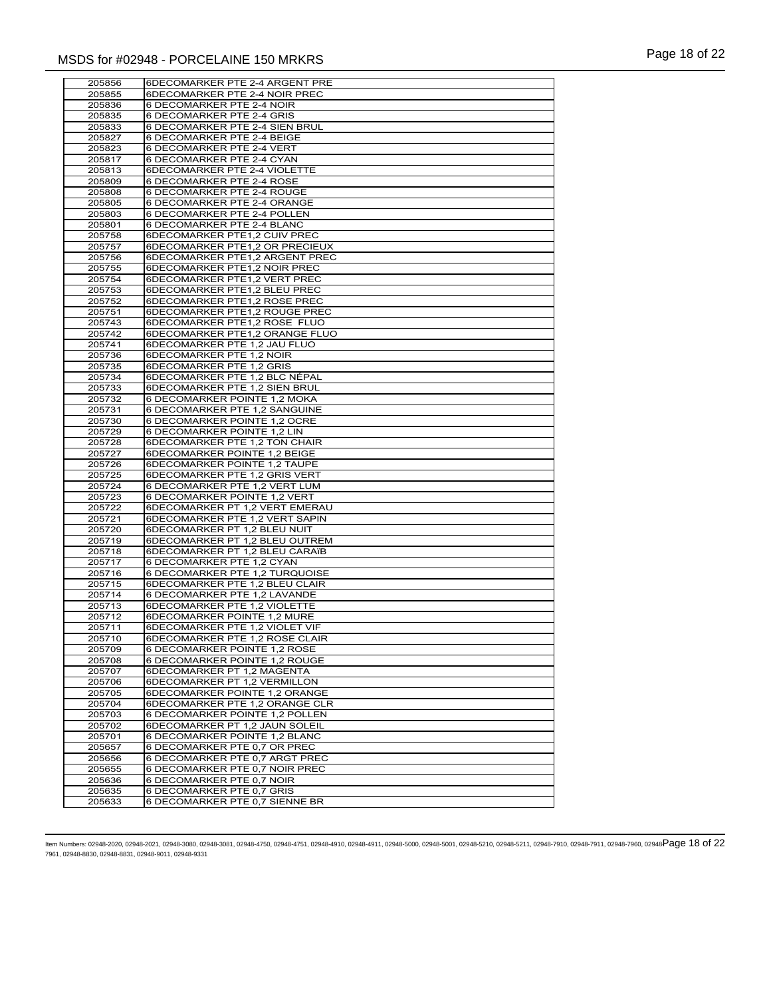| 205856           | 6DECOMARKER PTE 2-4 ARGENT PRE                                |
|------------------|---------------------------------------------------------------|
| 205855           | 6DECOMARKER PTE 2-4 NOIR PREC                                 |
| 205836           | 6 DECOMARKER PTE 2-4 NOIR                                     |
| 205835           | 6 DECOMARKER PTE 2-4 GRIS                                     |
| 205833           | 6 DECOMARKER PTE 2-4 SIEN BRUL                                |
| 205827           | 6 DECOMARKER PTE 2-4 BEIGE                                    |
| 205823           | 6 DECOMARKER PTE 2-4 VERT                                     |
| 205817           | 6 DECOMARKER PTE 2-4 CYAN                                     |
| 205813           | 6DECOMARKER PTE 2-4 VIOLETTE                                  |
| 205809           | 6 DECOMARKER PTE 2-4 ROSE                                     |
| 205808           | 6 DECOMARKER PTE 2-4 ROUGE                                    |
| 205805           | 6 DECOMARKER PTE 2-4 ORANGE                                   |
| 205803           | 6 DECOMARKER PTE 2-4 POLLEN                                   |
| 205801           | 6 DECOMARKER PTE 2-4 BLANC                                    |
| 205758           | 6DECOMARKER PTE1,2 CUIV PREC                                  |
| 205757           | 6DECOMARKER PTE1,2 OR PRECIEUX                                |
| 205756           | 6DECOMARKER PTE1,2 ARGENT PREC                                |
| 205755<br>205754 | 6DECOMARKER PTE1,2 NOIR PREC<br>6DECOMARKER PTE1,2 VERT PREC  |
| 205753           | 6DECOMARKER PTE1,2 BLEU PREC                                  |
| 205752           | 6DECOMARKER PTE1,2 ROSE PREC                                  |
| 205751           | 6DECOMARKER PTE1,2 ROUGE PREC                                 |
| 205743           | 6DECOMARKER PTE1,2 ROSE FLUO                                  |
| 205742           | 6DECOMARKER PTE1,2 ORANGE FLUO                                |
| 205741           | 6DECOMARKER PTE 1,2 JAU FLUO                                  |
| 205736           | 6DECOMARKER PTE 1,2 NOIR                                      |
| 205735           | 6DECOMARKER PTE 1,2 GRIS                                      |
| 205734           | 6DECOMARKER PTE 1,2 BLC NÉPAL                                 |
| 205733           | 6DECOMARKER PTE 1,2 SIEN BRUL                                 |
| 205732           | 6 DECOMARKER POINTE 1,2 MOKA                                  |
| 205731           | 6 DECOMARKER PTE 1,2 SANGUINE                                 |
| 205730           | 6 DECOMARKER POINTE 1,2 OCRE                                  |
| 205729           | 6 DECOMARKER POINTE 1,2 LIN                                   |
| 205728           | 6DECOMARKER PTE 1,2 TON CHAIR                                 |
| 205727           | 6DECOMARKER POINTE 1,2 BEIGE                                  |
| 205726           | 6DECOMARKER POINTE 1,2 TAUPE<br>6DECOMARKER PTE 1,2 GRIS VERT |
| 205725<br>205724 | 6 DECOMARKER PTE 1,2 VERT LUM                                 |
| 205723           | 6 DECOMARKER POINTE 1,2 VERT                                  |
| 205722           | 6DECOMARKER PT 1,2 VERT EMERAU                                |
| 205721           | 6DECOMARKER PTE 1,2 VERT SAPIN                                |
| 205720           | 6DECOMARKER PT 1,2 BLEU NUIT                                  |
| 205719           | 6DECOMARKER PT 1,2 BLEU OUTREM                                |
| 205718           | 6DECOMARKER PT 1,2 BLEU CARAïB                                |
| 205717           | 6 DECOMARKER PTE 1,2 CYAN                                     |
| 205716           | 6 DECOMARKER PTE 1,2 TURQUOISE                                |
| 205715           | 6DECOMARKER PTE 1,2 BLEU CLAIR                                |
| 205714           | 6 DECOMARKER PTE 1,2 LAVANDE                                  |
| 205713           | 6DECOMARKER PTE 1,2 VIOLETTE                                  |
| 205712           | 6DECOMARKER POINTE 1,2 MURE                                   |
| 205711           | 6DECOMARKER PTE 1,2 VIOLET VIF                                |
| 205710           | 6DECOMARKER PTE 1,2 ROSE CLAIR                                |
| 205709           | 6 DECOMARKER POINTE 1,2 ROSE                                  |
| 205708<br>205707 | 6 DECOMARKER POINTE 1,2 ROUGE<br>6DECOMARKER PT 1,2 MAGENTA   |
| 205706           | 6DECOMARKER PT 1,2 VERMILLON                                  |
| 205705           | 6DECOMARKER POINTE 1,2 ORANGE                                 |
| 205704           | 6DECOMARKER PTE 1,2 ORANGE CLR                                |
| 205703           | 6 DECOMARKER POINTE 1,2 POLLEN                                |
| 205702           | 6DECOMARKER PT 1,2 JAUN SOLEIL                                |
| 205701           | 6 DECOMARKER POINTE 1,2 BLANC                                 |
| 205657           | 6 DECOMARKER PTE 0,7 OR PREC                                  |
| 205656           | 6 DECOMARKER PTE 0,7 ARGT PREC                                |
| 205655           | 6 DECOMARKER PTE 0,7 NOIR PREC                                |
| 205636           | 6 DECOMARKER PTE 0,7 NOIR                                     |
| 205635           | 6 DECOMARKER PTE 0,7 GRIS                                     |
| 205633           | 6 DECOMARKER PTE 0,7 SIENNE BR                                |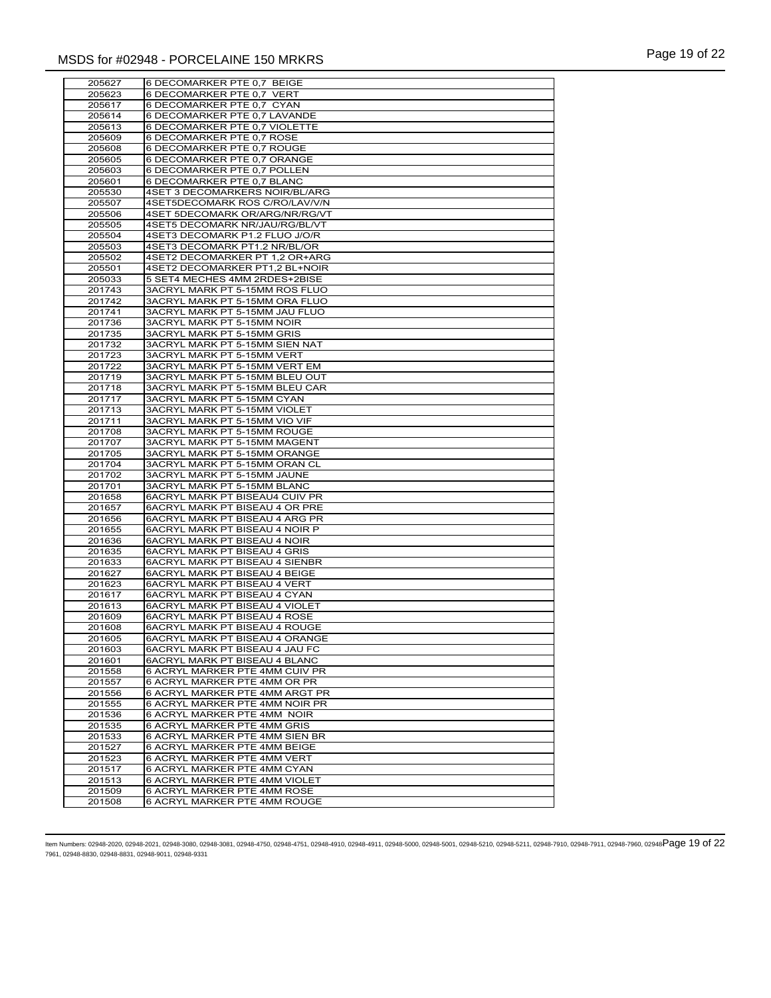| 205627           | 6 DECOMARKER PTE 0,7 BEIGE                                       |
|------------------|------------------------------------------------------------------|
| 205623           | 6 DECOMARKER PTE 0,7 VERT                                        |
| 205617           | 6 DECOMARKER PTE 0,7 CYAN                                        |
| 205614           | 6 DECOMARKER PTE 0,7 LAVANDE                                     |
| 205613           | 6 DECOMARKER PTE 0,7 VIOLETTE                                    |
| 205609           | 6 DECOMARKER PTE 0,7 ROSE                                        |
| 205608           | 6 DECOMARKER PTE 0,7 ROUGE                                       |
| 205605           | 6 DECOMARKER PTE 0,7 ORANGE                                      |
| 205603           | 6 DECOMARKER PTE 0.7 POLLEN                                      |
| 205601           | 6 DECOMARKER PTE 0,7 BLANC                                       |
| 205530           | 4SET 3 DECOMARKERS NOIR/BL/ARG                                   |
| 205507           | 4SET5DECOMARK ROS C/RO/LAV/V/N                                   |
| 205506           | 4SET 5DECOMARK OR/ARG/NR/RG/VT                                   |
| 205505<br>205504 | 4SET5 DECOMARK NR/JAU/RG/BL/VT<br>4SET3 DECOMARK P1.2 FLUO J/O/R |
| 205503           | 4SET3 DECOMARK PT1.2 NR/BL/OR                                    |
| 205502           | 4SET2 DECOMARKER PT 1,2 OR+ARG                                   |
| 205501           | 4SET2 DECOMARKER PT1,2 BL+NOIR                                   |
| 205033           | 5 SET4 MECHES 4MM 2RDES+2BISE                                    |
| 201743           | 3ACRYL MARK PT 5-15MM ROS FLUO                                   |
| 201742           | 3ACRYL MARK PT 5-15MM ORA FLUO                                   |
| 201741           | 3ACRYL MARK PT 5-15MM JAU FLUO                                   |
| 201736           | 3ACRYL MARK PT 5-15MM NOIR                                       |
| 201735           | 3ACRYL MARK PT 5-15MM GRIS                                       |
| 201732           | 3ACRYL MARK PT 5-15MM SIEN NAT                                   |
| 201723           | 3ACRYL MARK PT 5-15MM VERT                                       |
| 201722           | 3ACRYL MARK PT 5-15MM VERT EM                                    |
| 201719           | 3ACRYL MARK PT 5-15MM BLEU OUT                                   |
| 201718           | 3ACRYL MARK PT 5-15MM BLEU CAR                                   |
| 201717           | 3ACRYL MARK PT 5-15MM CYAN                                       |
| 201713           | 3ACRYL MARK PT 5-15MM VIOLET                                     |
| 201711<br>201708 | 3ACRYL MARK PT 5-15MM VIO VIF<br>3ACRYL MARK PT 5-15MM ROUGE     |
| 201707           | 3ACRYL MARK PT 5-15MM MAGENT                                     |
| 201705           | 3ACRYL MARK PT 5-15MM ORANGE                                     |
| 201704           | 3ACRYL MARK PT 5-15MM ORAN CL                                    |
| 201702           | 3ACRYL MARK PT 5-15MM JAUNE                                      |
| 201701           | 3ACRYL MARK PT 5-15MM BLANC                                      |
| 201658           | 6ACRYL MARK PT BISEAU4 CUIV PR                                   |
| 201657           | 6ACRYL MARK PT BISEAU 4 OR PRE                                   |
| 201656           | 6ACRYL MARK PT BISEAU 4 ARG PR                                   |
| 201655           | 6ACRYL MARK PT BISEAU 4 NOIR P                                   |
| 201636           | <b>6ACRYL MARK PT BISEAU 4 NOIR</b>                              |
| 201635           | 6ACRYL MARK PT BISEAU 4 GRIS                                     |
| 201633           | <b>6ACRYL MARK PT BISEAU 4 SIENBR</b>                            |
| 201627<br>201623 | 6ACRYL MARK PT BISEAU 4 BEIGE<br>6ACRYL MARK PT BISEAU 4 VERT    |
| 201617           | 6ACRYL MARK PT BISEAU 4 CYAN                                     |
| 201613           | 6ACRYL MARK PT BISEAU 4 VIOLET                                   |
| 201609           | 6ACRYL MARK PT BISEAU 4 ROSE                                     |
| 201608           | 6ACRYL MARK PT BISEAU 4 ROUGE                                    |
| 201605           | <b>6ACRYL MARK PT BISEAU 4 ORANGE</b>                            |
| 201603           | 6ACRYL MARK PT BISEAU 4 JAU FC                                   |
| 201601           | 6ACRYL MARK PT BISEAU 4 BLANC                                    |
| 201558           | 6 ACRYL MARKER PTE 4MM CUIV PR                                   |
| 201557           | 6 ACRYL MARKER PTE 4MM OR PR                                     |
| 201556           | 6 ACRYL MARKER PTE 4MM ARGT PR                                   |
| 201555           | 6 ACRYL MARKER PTE 4MM NOIR PR                                   |
| 201536           | 6 ACRYL MARKER PTE 4MM NOIR                                      |
| 201535           | 6 ACRYL MARKER PTE 4MM GRIS                                      |
| 201533           | 6 ACRYL MARKER PTE 4MM SIEN BR                                   |
| 201527<br>201523 | 6 ACRYL MARKER PTE 4MM BEIGE<br>6 ACRYL MARKER PTE 4MM VERT      |
| 201517           | 6 ACRYL MARKER PTE 4MM CYAN                                      |
| 201513           | 6 ACRYL MARKER PTE 4MM VIOLET                                    |
| 201509           | 6 ACRYL MARKER PTE 4MM ROSE                                      |
| 201508           | 6 ACRYL MARKER PTE 4MM ROUGE                                     |
|                  |                                                                  |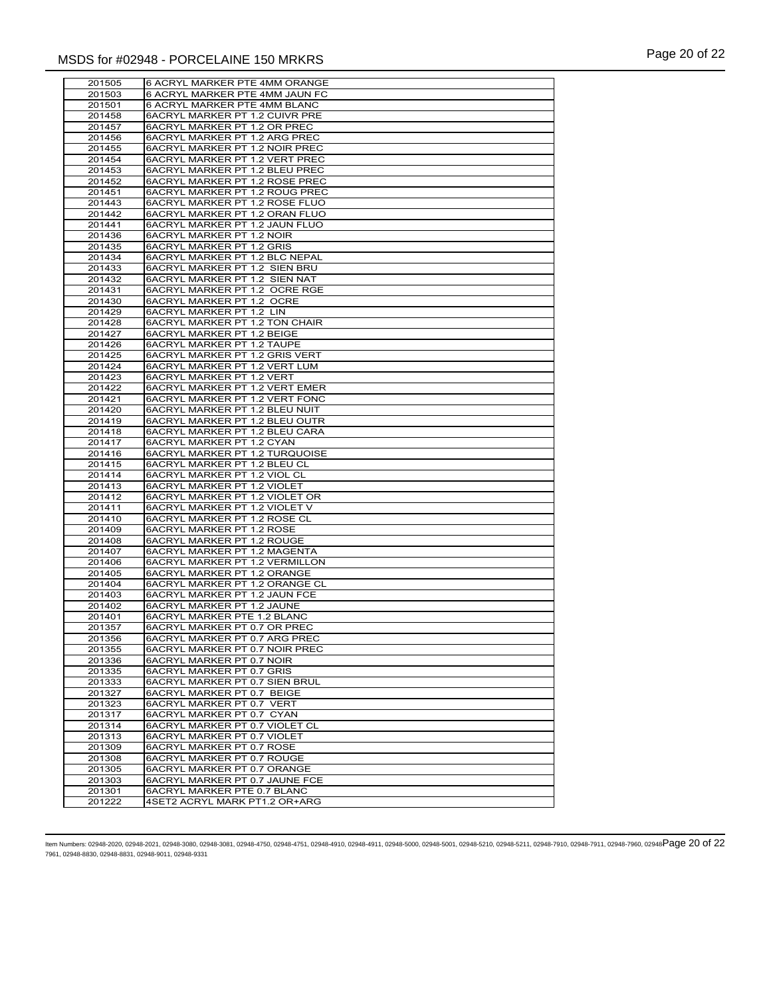| 201505           | 6 ACRYL MARKER PTE 4MM ORANGE                                    |
|------------------|------------------------------------------------------------------|
| 201503           | 6 ACRYL MARKER PTE 4MM JAUN FC                                   |
| 201501           | 6 ACRYL MARKER PTE 4MM BLANC                                     |
| 201458           | 6ACRYL MARKER PT 1.2 CUIVR PRE                                   |
| 201457           | 6ACRYL MARKER PT 1.2 OR PREC                                     |
| 201456           | 6ACRYL MARKER PT 1.2 ARG PREC                                    |
| 201455           | 6ACRYL MARKER PT 1.2 NOIR PREC                                   |
| 201454           | 6ACRYL MARKER PT 1.2 VERT PREC                                   |
| 201453           | 6ACRYL MARKER PT 1.2 BLEU PREC                                   |
| 201452           | 6ACRYL MARKER PT 1.2 ROSE PREC                                   |
| 201451           | 6ACRYL MARKER PT 1.2 ROUG PREC                                   |
| 201443<br>201442 | 6ACRYL MARKER PT 1.2 ROSE FLUO<br>6ACRYL MARKER PT 1.2 ORAN FLUO |
| 201441           | 6ACRYL MARKER PT 1.2 JAUN FLUO                                   |
| 201436           | 6ACRYL MARKER PT 1.2 NOIR                                        |
| 201435           | 6ACRYL MARKER PT 1.2 GRIS                                        |
| 201434           | 6ACRYL MARKER PT 1.2 BLC NEPAL                                   |
| 201433           | 6ACRYL MARKER PT 1.2 SIEN BRU                                    |
| 201432           | 6ACRYL MARKER PT 1.2 SIEN NAT                                    |
| 201431           | 6ACRYL MARKER PT 1.2 OCRE RGE                                    |
| 201430           | 6ACRYL MARKER PT 1.2 OCRE                                        |
| 201429           | 6ACRYL MARKER PT 1.2 LIN                                         |
| 201428           | <b>6ACRYL MARKER PT 1.2 TON CHAIR</b>                            |
| 201427           | 6ACRYL MARKER PT 1.2 BEIGE                                       |
| 201426           | <b>6ACRYL MARKER PT 1.2 TAUPE</b>                                |
| 201425<br>201424 | 6ACRYL MARKER PT 1.2 GRIS VERT<br>6ACRYL MARKER PT 1.2 VERT LUM  |
| 201423           | 6ACRYL MARKER PT 1.2 VERT                                        |
| 201422           | 6ACRYL MARKER PT 1.2 VERT EMER                                   |
| 201421           | 6ACRYL MARKER PT 1.2 VERT FONC                                   |
| 201420           | 6ACRYL MARKER PT 1.2 BLEU NUIT                                   |
| 201419           | 6ACRYL MARKER PT 1.2 BLEU OUTR                                   |
| 201418           | 6ACRYL MARKER PT 1.2 BLEU CARA                                   |
| 201417           | 6ACRYL MARKER PT 1.2 CYAN                                        |
| 201416           | 6ACRYL MARKER PT 1.2 TURQUOISE                                   |
| 201415           | 6ACRYL MARKER PT 1.2 BLEU CL                                     |
| 201414           | 6ACRYL MARKER PT 1.2 VIOL CL                                     |
| 201413           | 6ACRYL MARKER PT 1.2 VIOLET                                      |
| 201412<br>201411 | 6ACRYL MARKER PT 1.2 VIOLET OR<br>6ACRYL MARKER PT 1.2 VIOLET V  |
| 201410           | 6ACRYL MARKER PT 1.2 ROSE CL                                     |
| 201409           | 6ACRYL MARKER PT 1.2 ROSE                                        |
| 201408           | 6ACRYL MARKER PT 1.2 ROUGE                                       |
| 201407           | 6ACRYL MARKER PT 1.2 MAGENTA                                     |
| 201406           | 6ACRYL MARKER PT 1.2 VERMILLON                                   |
| 201405           | 6ACRYL MARKER PT 1.2 ORANGE                                      |
| 201404           | 6ACRYL MARKER PT 1.2 ORANGE CL                                   |
| 201403           | 6ACRYL MARKER PT 1.2 JAUN FCE                                    |
| 201402           | 6ACRYL MARKER PT 1.2 JAUNE                                       |
| 201401           | 6ACRYL MARKER PTE 1.2 BLANC                                      |
| 201357           | 6ACRYL MARKER PT 0.7 OR PREC                                     |
| 201356           |                                                                  |
|                  | 6ACRYL MARKER PT 0.7 ARG PREC                                    |
| 201355           | 6ACRYL MARKER PT 0.7 NOIR PREC                                   |
| 201336           | 6ACRYL MARKER PT 0.7 NOIR                                        |
| 201335<br>201333 | 6ACRYL MARKER PT 0.7 GRIS                                        |
| 201327           | 6ACRYL MARKER PT 0.7 SIEN BRUL<br>6ACRYL MARKER PT 0.7 BEIGE     |
| 201323           | 6ACRYL MARKER PT 0.7 VERT                                        |
| 201317           | 6ACRYL MARKER PT 0.7 CYAN                                        |
| 201314           | 6ACRYL MARKER PT 0.7 VIOLET CL                                   |
| 201313           | 6ACRYL MARKER PT 0.7 VIOLET                                      |
| 201309           | 6ACRYL MARKER PT 0.7 ROSE                                        |
| 201308           | 6ACRYL MARKER PT 0.7 ROUGE                                       |
| 201305           | 6ACRYL MARKER PT 0.7 ORANGE                                      |
| 201303           | 6ACRYL MARKER PT 0.7 JAUNE FCE                                   |
| 201301<br>201222 | 6ACRYL MARKER PTE 0.7 BLANC<br>4SET2 ACRYL MARK PT1.2 OR+ARG     |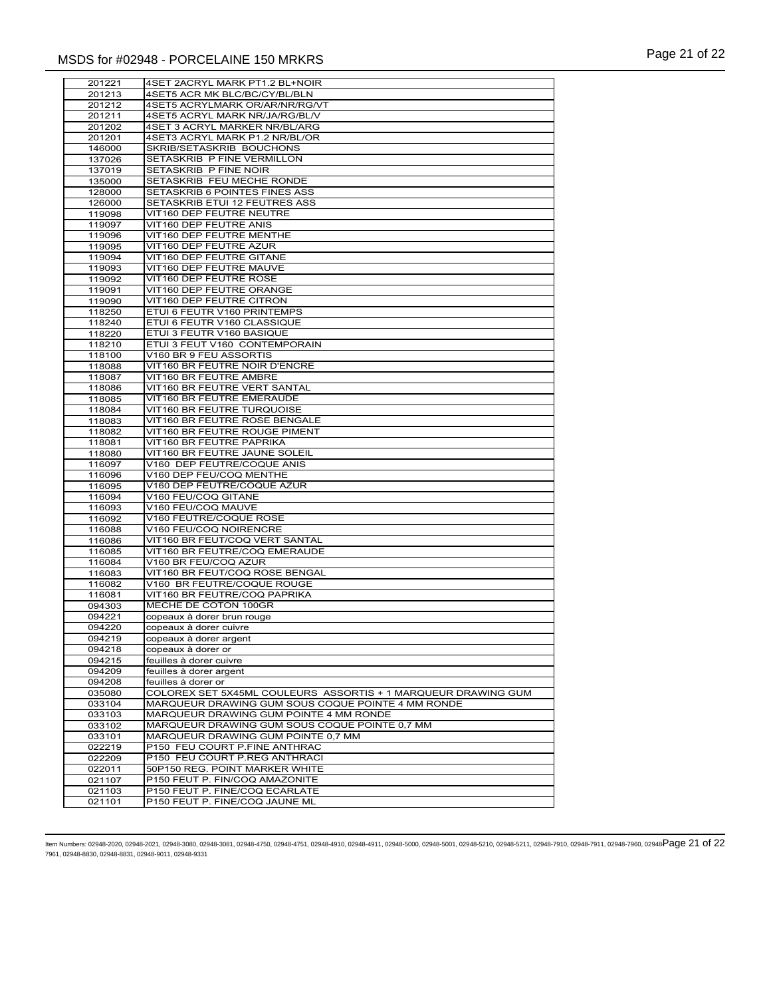| 201221           | 4SET 2ACRYL MARK PT1.2 BL+NOIR                                |
|------------------|---------------------------------------------------------------|
| 201213           | 4SET5 ACR MK BLC/BC/CY/BL/BLN                                 |
| 201212           | 4SET5 ACRYLMARK OR/AR/NR/RG/VT                                |
| 201211           | 4SET5 ACRYL MARK NR/JA/RG/BL/V                                |
| 201202           | 4SET 3 ACRYL MARKER NR/BL/ARG                                 |
| 201201           | 4SET3 ACRYL MARK P1.2 NR/BL/OR                                |
| 146000           | <b>SKRIB/SETASKRIB BOUCHONS</b>                               |
| 137026           | <b>SETASKRIB P FINE VERMILLON</b>                             |
| 137019           | SETASKRIB P FINE NOIR                                         |
| 135000           | SETASKRIB FEU MECHE RONDE                                     |
| 128000           | SETASKRIB 6 POINTES FINES ASS                                 |
| 126000           | SETASKRIB ETUI 12 FEUTRES ASS                                 |
| 119098           | VIT160 DEP FEUTRE NEUTRE                                      |
| 119097           | VIT160 DEP FEUTRE ANIS                                        |
| 119096           | VIT160 DEP FEUTRE MENTHE                                      |
| 119095           | VIT160 DEP FEUTRE AZUR                                        |
| 119094           | VIT160 DEP FEUTRE GITANE                                      |
| 119093           | VIT160 DEP FEUTRE MAUVE                                       |
| 119092           | VIT160 DEP FEUTRE ROSE                                        |
| 119091           | VIT160 DEP FEUTRE ORANGE                                      |
| 119090           | VIT160 DEP FEUTRE CITRON                                      |
| 118250           | ETUI 6 FEUTR V160 PRINTEMPS                                   |
| 118240           | ETUI 6 FEUTR V160 CLASSIQUE                                   |
| 118220           | ETUI 3 FEUTR V160 BASIQUE                                     |
| 118210           | ETUI 3 FEUT V160 CONTEMPORAIN                                 |
| 118100           | V160 BR 9 FEU ASSORTIS                                        |
| 118088           | VIT160 BR FEUTRE NOIR D'ENCRE                                 |
| 118087           | <b>VIT160 BR FEUTRE AMBRE</b>                                 |
| 118086           | VIT160 BR FEUTRE VERT SANTAL                                  |
| 118085           | VIT160 BR FEUTRE EMERAUDE                                     |
| 118084           | <b>VIT160 BR FEUTRE TURQUOISE</b>                             |
| 118083           | VIT160 BR FEUTRE ROSE BENGALE                                 |
| 118082           | VIT160 BR FEUTRE ROUGE PIMENT                                 |
| 118081           | VIT160 BR FEUTRE PAPRIKA                                      |
| 118080           | VIT160 BR FEUTRE JAUNE SOLEIL                                 |
| 116097           | V160 DEP FEUTRE/COQUE ANIS                                    |
| 116096           | V160 DEP FEU/COQ MENTHE                                       |
| 116095           | V160 DEP FEUTRE/COQUE AZUR                                    |
| 116094           | V160 FEU/COQ GITANE                                           |
| 116093           | V160 FEU/COQ MAUVE                                            |
| 116092           | V160 FEUTRE/COQUE ROSE<br>V160 FEU/COQ NOIRENCRE              |
| 116088<br>116086 | VIT160 BR FEUT/COQ VERT SANTAL                                |
| 116085           | VIT160 BR FEUTRE/COQ EMERAUDE                                 |
| 116084           | V160 BR FEU/COQ AZUR                                          |
| 116083           | VIT160 BR FEUT/COQ ROSE BENGAL                                |
| 116082           | V160 BR FEUTRE/COQUE ROUGE                                    |
| 116081           | VIT160 BR FEUTRE/COQ PAPRIKA                                  |
| 094303           | MECHE DE COTON 100GR                                          |
| 094221           | copeaux à dorer brun rouge                                    |
| 094220           | copeaux à dorer cuivre                                        |
| 094219           | copeaux à dorer argent                                        |
| 094218           | copeaux à dorer or                                            |
| 094215           | feuilles à dorer cuivre                                       |
| 094209           | feuilles à dorer argent                                       |
| 094208           | feuilles à dorer or                                           |
| 035080           | COLOREX SET 5X45ML COULEURS ASSORTIS + 1 MARQUEUR DRAWING GUM |
| 033104           | MARQUEUR DRAWING GUM SOUS COQUE POINTE 4 MM RONDE             |
| 033103           | MARQUEUR DRAWING GUM POINTE 4 MM RONDE                        |
| 033102           | MARQUEUR DRAWING GUM SOUS COQUE POINTE 0,7 MM                 |
| 033101           | MARQUEUR DRAWING GUM POINTE 0,7 MM                            |
| 022219           | P150 FEU COURT P.FINE ANTHRAC                                 |
| 022209           | P150 FEU COURT P.REG ANTHRACI                                 |
| 022011           | 50P150 REG. POINT MARKER WHITE                                |
| 021107           | P150 FEUT P. FIN/COQ AMAZONITE                                |
| 021103           | P150 FEUT P. FINE/COQ ECARLATE                                |
| 021101           | P150 FEUT P. FINE/COQ JAUNE ML                                |